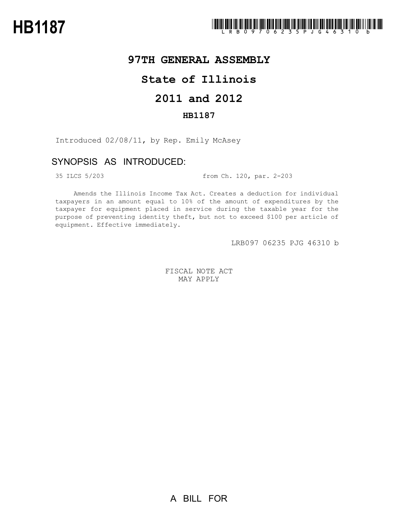## **97TH GENERAL ASSEMBLY**

## **State of Illinois**

# **2011 and 2012**

### **HB1187**

Introduced 02/08/11, by Rep. Emily McAsey

### SYNOPSIS AS INTRODUCED:

35 ILCS 5/203 from Ch. 120, par. 2-203

Amends the Illinois Income Tax Act. Creates a deduction for individual taxpayers in an amount equal to 10% of the amount of expenditures by the taxpayer for equipment placed in service during the taxable year for the purpose of preventing identity theft, but not to exceed \$100 per article of equipment. Effective immediately.

LRB097 06235 PJG 46310 b

FISCAL NOTE ACT MAY APPLY

A BILL FOR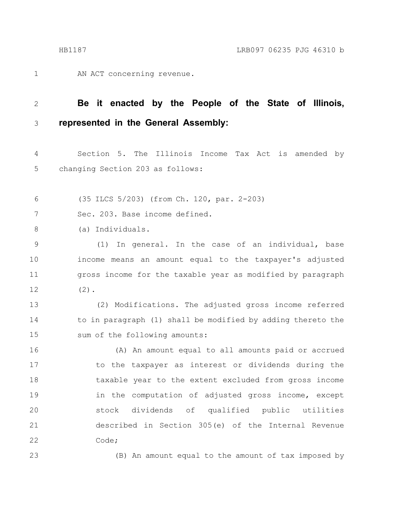AN ACT concerning revenue. 1

#### **Be it enacted by the People of the State of Illinois, represented in the General Assembly:** 2 3

Section 5. The Illinois Income Tax Act is amended by changing Section 203 as follows: 4 5

(35 ILCS 5/203) (from Ch. 120, par. 2-203) 6

Sec. 203. Base income defined. 7

(a) Individuals. 8

(1) In general. In the case of an individual, base income means an amount equal to the taxpayer's adjusted gross income for the taxable year as modified by paragraph (2). 9 10 11 12

(2) Modifications. The adjusted gross income referred to in paragraph (1) shall be modified by adding thereto the sum of the following amounts: 13 14 15

(A) An amount equal to all amounts paid or accrued to the taxpayer as interest or dividends during the taxable year to the extent excluded from gross income in the computation of adjusted gross income, except stock dividends of qualified public utilities described in Section 305(e) of the Internal Revenue Code; 16 17 18 19 20 21 22

23

(B) An amount equal to the amount of tax imposed by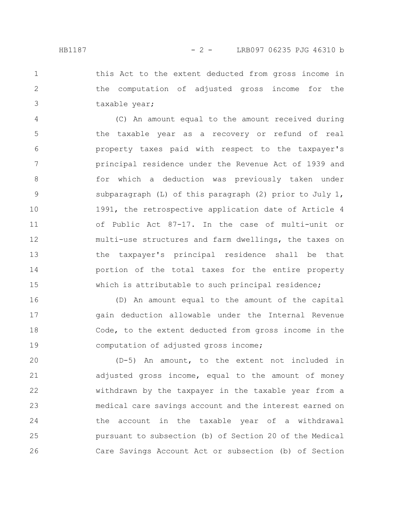this Act to the extent deducted from gross income in the computation of adjusted gross income for the taxable year; 1 2 3

(C) An amount equal to the amount received during the taxable year as a recovery or refund of real property taxes paid with respect to the taxpayer's principal residence under the Revenue Act of 1939 and for which a deduction was previously taken under subparagraph (L) of this paragraph (2) prior to July 1, 1991, the retrospective application date of Article 4 of Public Act 87-17. In the case of multi-unit or multi-use structures and farm dwellings, the taxes on the taxpayer's principal residence shall be that portion of the total taxes for the entire property which is attributable to such principal residence; 4 5 6 7 8 9 10 11 12 13 14 15

(D) An amount equal to the amount of the capital gain deduction allowable under the Internal Revenue Code, to the extent deducted from gross income in the computation of adjusted gross income; 16 17 18 19

(D-5) An amount, to the extent not included in adjusted gross income, equal to the amount of money withdrawn by the taxpayer in the taxable year from a medical care savings account and the interest earned on the account in the taxable year of a withdrawal pursuant to subsection (b) of Section 20 of the Medical Care Savings Account Act or subsection (b) of Section 20 21 22 23 24 25 26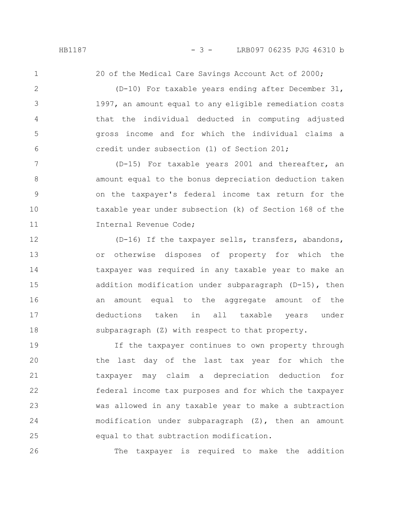1

2

3

4

5

6

20 of the Medical Care Savings Account Act of 2000;

(D-10) For taxable years ending after December 31, 1997, an amount equal to any eligible remediation costs that the individual deducted in computing adjusted gross income and for which the individual claims a credit under subsection (l) of Section 201;

(D-15) For taxable years 2001 and thereafter, an amount equal to the bonus depreciation deduction taken on the taxpayer's federal income tax return for the taxable year under subsection (k) of Section 168 of the Internal Revenue Code; 7 8 9 10 11

(D-16) If the taxpayer sells, transfers, abandons, or otherwise disposes of property for which the taxpayer was required in any taxable year to make an addition modification under subparagraph (D-15), then an amount equal to the aggregate amount of the deductions taken in all taxable years under subparagraph (Z) with respect to that property. 12 13 14 15 16 17 18

If the taxpayer continues to own property through the last day of the last tax year for which the taxpayer may claim a depreciation deduction for federal income tax purposes and for which the taxpayer was allowed in any taxable year to make a subtraction modification under subparagraph (Z), then an amount equal to that subtraction modification. 19 20 21 22 23 24 25

The taxpayer is required to make the addition 26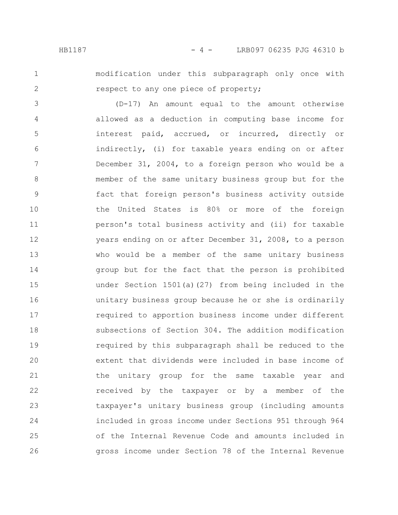1

2

modification under this subparagraph only once with respect to any one piece of property;

(D-17) An amount equal to the amount otherwise allowed as a deduction in computing base income for interest paid, accrued, or incurred, directly or indirectly, (i) for taxable years ending on or after December 31, 2004, to a foreign person who would be a member of the same unitary business group but for the fact that foreign person's business activity outside the United States is 80% or more of the foreign person's total business activity and (ii) for taxable years ending on or after December 31, 2008, to a person who would be a member of the same unitary business group but for the fact that the person is prohibited under Section 1501(a)(27) from being included in the unitary business group because he or she is ordinarily required to apportion business income under different subsections of Section 304. The addition modification required by this subparagraph shall be reduced to the extent that dividends were included in base income of the unitary group for the same taxable year and received by the taxpayer or by a member of the taxpayer's unitary business group (including amounts included in gross income under Sections 951 through 964 of the Internal Revenue Code and amounts included in gross income under Section 78 of the Internal Revenue 3 4 5 6 7 8 9 10 11 12 13 14 15 16 17 18 19 20 21 22 23 24 25 26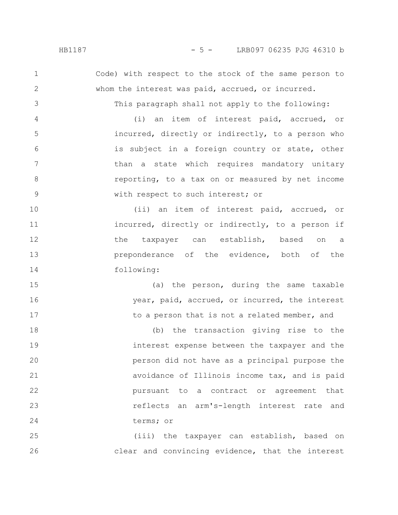Code) with respect to the stock of the same person to whom the interest was paid, accrued, or incurred.

This paragraph shall not apply to the following:

(i) an item of interest paid, accrued, or incurred, directly or indirectly, to a person who is subject in a foreign country or state, other than a state which requires mandatory unitary reporting, to a tax on or measured by net income with respect to such interest; or 4 5 6 7 8 9

(ii) an item of interest paid, accrued, or incurred, directly or indirectly, to a person if the taxpayer can establish, based on a preponderance of the evidence, both of the following: 10 11 12 13 14

(a) the person, during the same taxable year, paid, accrued, or incurred, the interest to a person that is not a related member, and 15 16 17

(b) the transaction giving rise to the interest expense between the taxpayer and the person did not have as a principal purpose the avoidance of Illinois income tax, and is paid pursuant to a contract or agreement that reflects an arm's-length interest rate and terms; or 18 19 20 21 22 23 24

(iii) the taxpayer can establish, based on clear and convincing evidence, that the interest 25 26

1

2

3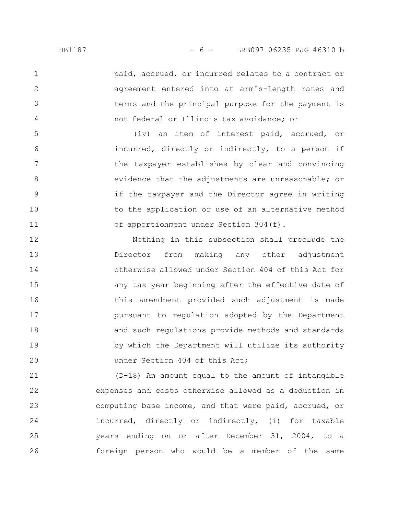paid, accrued, or incurred relates to a contract or agreement entered into at arm's-length rates and terms and the principal purpose for the payment is not federal or Illinois tax avoidance; or

(iv) an item of interest paid, accrued, or incurred, directly or indirectly, to a person if the taxpayer establishes by clear and convincing evidence that the adjustments are unreasonable; or if the taxpayer and the Director agree in writing to the application or use of an alternative method of apportionment under Section 304(f).

Nothing in this subsection shall preclude the Director from making any other adjustment otherwise allowed under Section 404 of this Act for any tax year beginning after the effective date of this amendment provided such adjustment is made pursuant to regulation adopted by the Department and such regulations provide methods and standards by which the Department will utilize its authority under Section 404 of this Act; 12 13 14 15 16 17 18 19 20

(D-18) An amount equal to the amount of intangible expenses and costs otherwise allowed as a deduction in computing base income, and that were paid, accrued, or incurred, directly or indirectly, (i) for taxable years ending on or after December 31, 2004, to a foreign person who would be a member of the same 21 22 23 24 25 26

1

2

3

4

5

6

7

8

9

10

11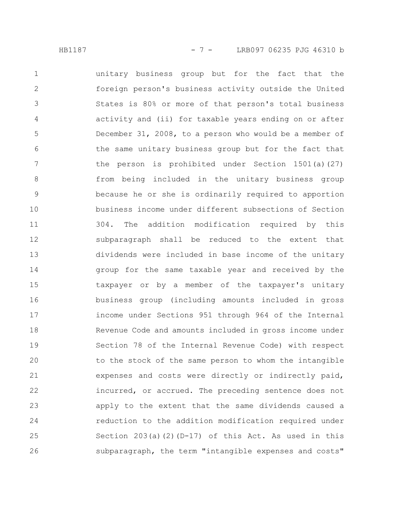unitary business group but for the fact that the foreign person's business activity outside the United States is 80% or more of that person's total business activity and (ii) for taxable years ending on or after December 31, 2008, to a person who would be a member of the same unitary business group but for the fact that the person is prohibited under Section 1501(a)(27) from being included in the unitary business group because he or she is ordinarily required to apportion business income under different subsections of Section 304. The addition modification required by this subparagraph shall be reduced to the extent that dividends were included in base income of the unitary group for the same taxable year and received by the taxpayer or by a member of the taxpayer's unitary business group (including amounts included in gross income under Sections 951 through 964 of the Internal Revenue Code and amounts included in gross income under Section 78 of the Internal Revenue Code) with respect to the stock of the same person to whom the intangible expenses and costs were directly or indirectly paid, incurred, or accrued. The preceding sentence does not apply to the extent that the same dividends caused a reduction to the addition modification required under Section  $203(a)(2)(D-17)$  of this Act. As used in this subparagraph, the term "intangible expenses and costs" 1 2 3 4 5 6 7 8 9 10 11 12 13 14 15 16 17 18 19 20 21 22 23 24 25 26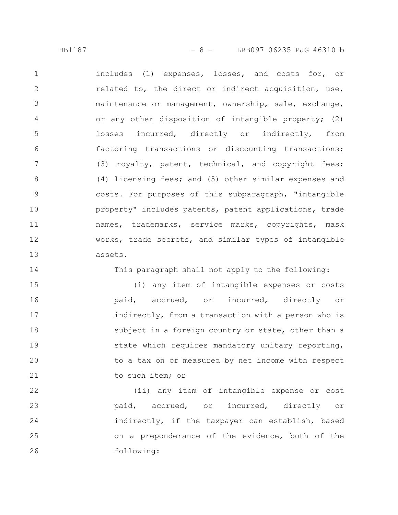HB1187 - 8 - LRB097 06235 PJG 46310 b

includes (1) expenses, losses, and costs for, or related to, the direct or indirect acquisition, use, maintenance or management, ownership, sale, exchange, or any other disposition of intangible property; (2) losses incurred, directly or indirectly, from factoring transactions or discounting transactions; (3) royalty, patent, technical, and copyright fees; (4) licensing fees; and (5) other similar expenses and costs. For purposes of this subparagraph, "intangible property" includes patents, patent applications, trade names, trademarks, service marks, copyrights, mask works, trade secrets, and similar types of intangible assets. 1 2 3 4 5 6 7 8 9 10 11 12 13

14

This paragraph shall not apply to the following:

(i) any item of intangible expenses or costs paid, accrued, or incurred, directly or indirectly, from a transaction with a person who is subject in a foreign country or state, other than a state which requires mandatory unitary reporting, to a tax on or measured by net income with respect to such item; or 15 16 17 18 19 20 21

(ii) any item of intangible expense or cost paid, accrued, or incurred, directly or indirectly, if the taxpayer can establish, based on a preponderance of the evidence, both of the following: 22 23 24 25 26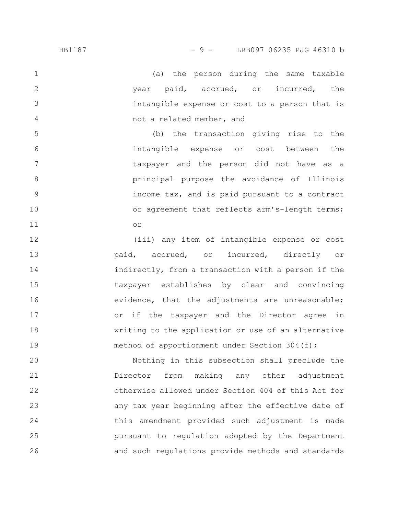1

2

3

4

(a) the person during the same taxable year paid, accrued, or incurred, the intangible expense or cost to a person that is not a related member, and

(b) the transaction giving rise to the intangible expense or cost between the taxpayer and the person did not have as a principal purpose the avoidance of Illinois income tax, and is paid pursuant to a contract or agreement that reflects arm's-length terms; or 5 6 7 8 9 10 11

(iii) any item of intangible expense or cost paid, accrued, or incurred, directly or indirectly, from a transaction with a person if the taxpayer establishes by clear and convincing evidence, that the adjustments are unreasonable; or if the taxpayer and the Director agree in writing to the application or use of an alternative method of apportionment under Section 304(f); 12 13 14 15 16 17 18 19

Nothing in this subsection shall preclude the Director from making any other adjustment otherwise allowed under Section 404 of this Act for any tax year beginning after the effective date of this amendment provided such adjustment is made pursuant to regulation adopted by the Department and such regulations provide methods and standards 20 21 22 23 24 25 26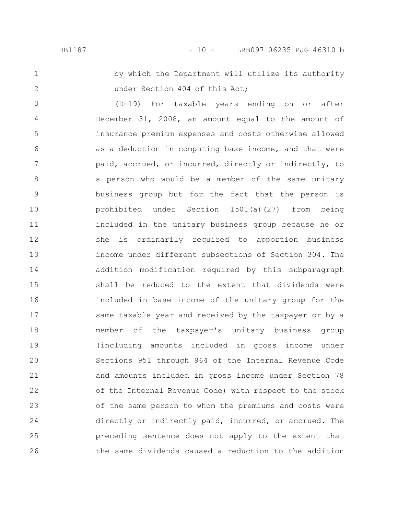#### HB1187 - 10 - LRB097 06235 PJG 46310 b

1

2

by which the Department will utilize its authority under Section 404 of this Act;

(D-19) For taxable years ending on or after December 31, 2008, an amount equal to the amount of insurance premium expenses and costs otherwise allowed as a deduction in computing base income, and that were paid, accrued, or incurred, directly or indirectly, to a person who would be a member of the same unitary business group but for the fact that the person is prohibited under Section 1501(a)(27) from being included in the unitary business group because he or she is ordinarily required to apportion business income under different subsections of Section 304. The addition modification required by this subparagraph shall be reduced to the extent that dividends were included in base income of the unitary group for the same taxable year and received by the taxpayer or by a member of the taxpayer's unitary business group (including amounts included in gross income under Sections 951 through 964 of the Internal Revenue Code and amounts included in gross income under Section 78 of the Internal Revenue Code) with respect to the stock of the same person to whom the premiums and costs were directly or indirectly paid, incurred, or accrued. The preceding sentence does not apply to the extent that the same dividends caused a reduction to the addition 3 4 5 6 7 8 9 10 11 12 13 14 15 16 17 18 19 20 21 22 23 24 25 26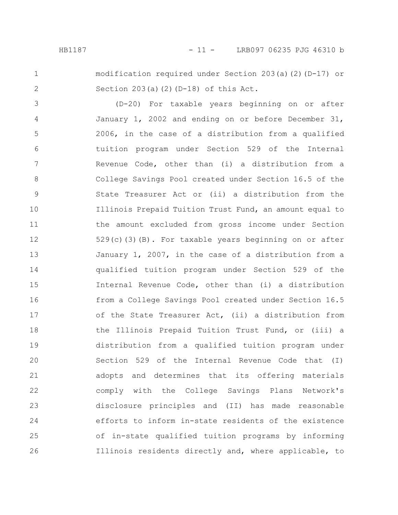### HB1187 - 11 - LRB097 06235 PJG 46310 b

1

2

modification required under Section 203(a)(2)(D-17) or Section  $203(a)(2)(D-18)$  of this Act.

(D-20) For taxable years beginning on or after January 1, 2002 and ending on or before December 31, 2006, in the case of a distribution from a qualified tuition program under Section 529 of the Internal Revenue Code, other than (i) a distribution from a College Savings Pool created under Section 16.5 of the State Treasurer Act or (ii) a distribution from the Illinois Prepaid Tuition Trust Fund, an amount equal to the amount excluded from gross income under Section 529(c)(3)(B). For taxable years beginning on or after January 1, 2007, in the case of a distribution from a qualified tuition program under Section 529 of the Internal Revenue Code, other than (i) a distribution from a College Savings Pool created under Section 16.5 of the State Treasurer Act, (ii) a distribution from the Illinois Prepaid Tuition Trust Fund, or (iii) a distribution from a qualified tuition program under Section 529 of the Internal Revenue Code that (I) adopts and determines that its offering materials comply with the College Savings Plans Network's disclosure principles and (II) has made reasonable efforts to inform in-state residents of the existence of in-state qualified tuition programs by informing Illinois residents directly and, where applicable, to 3 4 5 6 7 8 9 10 11 12 13 14 15 16 17 18 19 20 21 22 23 24 25 26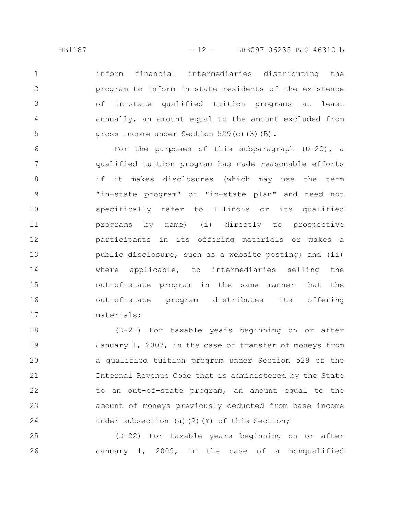inform financial intermediaries distributing the program to inform in-state residents of the existence of in-state qualified tuition programs at least annually, an amount equal to the amount excluded from gross income under Section 529(c)(3)(B). 1 2 3 4 5

For the purposes of this subparagraph (D-20), a qualified tuition program has made reasonable efforts if it makes disclosures (which may use the term "in-state program" or "in-state plan" and need not specifically refer to Illinois or its qualified programs by name) (i) directly to prospective participants in its offering materials or makes a public disclosure, such as a website posting; and (ii) where applicable, to intermediaries selling the out-of-state program in the same manner that the out-of-state program distributes its offering materials; 6 7 8 9 10 11 12 13 14 15 16 17

(D-21) For taxable years beginning on or after January 1, 2007, in the case of transfer of moneys from a qualified tuition program under Section 529 of the Internal Revenue Code that is administered by the State to an out-of-state program, an amount equal to the amount of moneys previously deducted from base income under subsection (a)(2)(Y) of this Section; 18 19 20 21 22 23 24

(D-22) For taxable years beginning on or after January 1, 2009, in the case of a nonqualified 25 26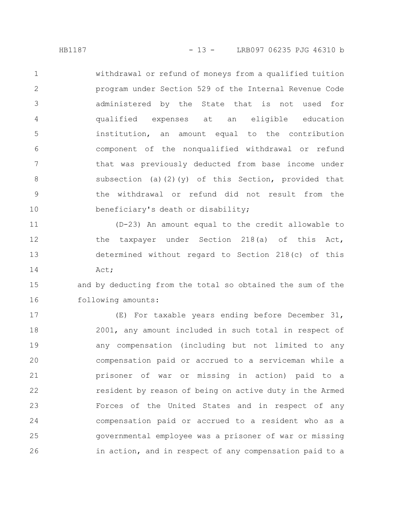withdrawal or refund of moneys from a qualified tuition program under Section 529 of the Internal Revenue Code administered by the State that is not used for qualified expenses at an eligible education institution, an amount equal to the contribution component of the nonqualified withdrawal or refund that was previously deducted from base income under subsection (a)(2)(y) of this Section, provided that the withdrawal or refund did not result from the beneficiary's death or disability; 1 2 3 4 5 6 7 8 9 10

(D-23) An amount equal to the credit allowable to the taxpayer under Section 218(a) of this Act, determined without regard to Section 218(c) of this Act; 11 12 13 14

and by deducting from the total so obtained the sum of the following amounts: 15 16

(E) For taxable years ending before December 31, 2001, any amount included in such total in respect of any compensation (including but not limited to any compensation paid or accrued to a serviceman while a prisoner of war or missing in action) paid to a resident by reason of being on active duty in the Armed Forces of the United States and in respect of any compensation paid or accrued to a resident who as a governmental employee was a prisoner of war or missing in action, and in respect of any compensation paid to a 17 18 19 20 21 22 23 24 25 26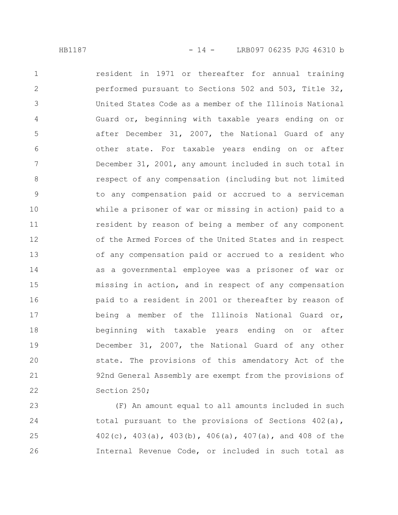resident in 1971 or thereafter for annual training performed pursuant to Sections 502 and 503, Title 32, United States Code as a member of the Illinois National Guard or, beginning with taxable years ending on or after December 31, 2007, the National Guard of any other state. For taxable years ending on or after December 31, 2001, any amount included in such total in respect of any compensation (including but not limited to any compensation paid or accrued to a serviceman while a prisoner of war or missing in action) paid to a resident by reason of being a member of any component of the Armed Forces of the United States and in respect of any compensation paid or accrued to a resident who as a governmental employee was a prisoner of war or missing in action, and in respect of any compensation paid to a resident in 2001 or thereafter by reason of being a member of the Illinois National Guard or, beginning with taxable years ending on or after December 31, 2007, the National Guard of any other state. The provisions of this amendatory Act of the 92nd General Assembly are exempt from the provisions of Section 250; 1 2 3 4 5 6 7 8 9 10 11 12 13 14 15 16 17 18 19 20 21 22

(F) An amount equal to all amounts included in such total pursuant to the provisions of Sections  $402(a)$ , 402(c), 403(a), 403(b), 406(a), 407(a), and 408 of the Internal Revenue Code, or included in such total as 23 24 25 26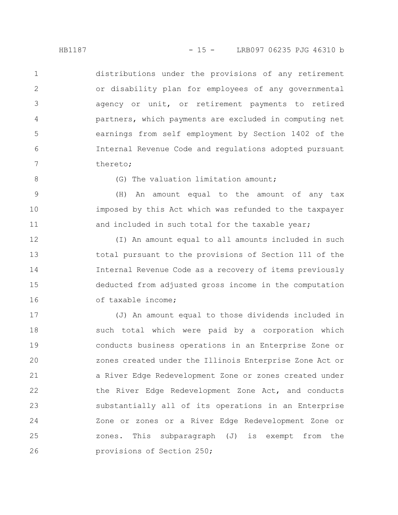distributions under the provisions of any retirement or disability plan for employees of any governmental agency or unit, or retirement payments to retired partners, which payments are excluded in computing net earnings from self employment by Section 1402 of the Internal Revenue Code and regulations adopted pursuant thereto; 1 2 3 4 5 6 7

8

(G) The valuation limitation amount;

(H) An amount equal to the amount of any tax imposed by this Act which was refunded to the taxpayer and included in such total for the taxable year; 9 10 11

(I) An amount equal to all amounts included in such total pursuant to the provisions of Section 111 of the Internal Revenue Code as a recovery of items previously deducted from adjusted gross income in the computation of taxable income; 12 13 14 15 16

(J) An amount equal to those dividends included in such total which were paid by a corporation which conducts business operations in an Enterprise Zone or zones created under the Illinois Enterprise Zone Act or a River Edge Redevelopment Zone or zones created under the River Edge Redevelopment Zone Act, and conducts substantially all of its operations in an Enterprise Zone or zones or a River Edge Redevelopment Zone or zones. This subparagraph (J) is exempt from the provisions of Section 250; 17 18 19 20 21 22 23 24 25 26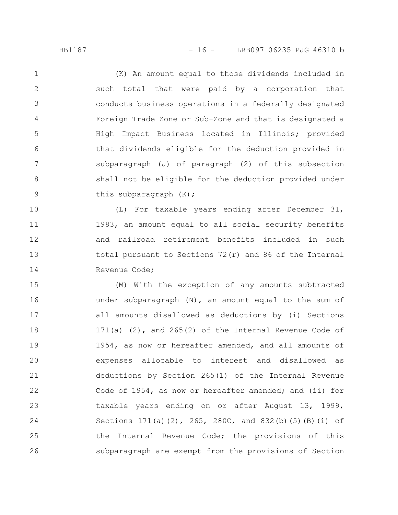(K) An amount equal to those dividends included in such total that were paid by a corporation that conducts business operations in a federally designated Foreign Trade Zone or Sub-Zone and that is designated a High Impact Business located in Illinois; provided that dividends eligible for the deduction provided in subparagraph (J) of paragraph (2) of this subsection shall not be eligible for the deduction provided under this subparagraph (K); 1 2 3 4 5 6 7 8 9

(L) For taxable years ending after December 31, 1983, an amount equal to all social security benefits and railroad retirement benefits included in such total pursuant to Sections 72(r) and 86 of the Internal Revenue Code; 10 11 12 13 14

(M) With the exception of any amounts subtracted under subparagraph (N), an amount equal to the sum of all amounts disallowed as deductions by (i) Sections 171(a) (2), and 265(2) of the Internal Revenue Code of 1954, as now or hereafter amended, and all amounts of expenses allocable to interest and disallowed as deductions by Section 265(1) of the Internal Revenue Code of 1954, as now or hereafter amended; and (ii) for taxable years ending on or after August 13, 1999, Sections 171(a)(2), 265, 280C, and 832(b)(5)(B)(i) of the Internal Revenue Code; the provisions of this subparagraph are exempt from the provisions of Section 15 16 17 18 19 20 21 22 23 24 25 26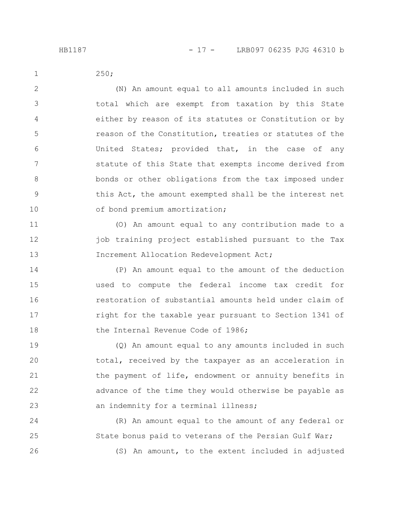250; 1

2

3

4

5

6

7

8

9

10

(N) An amount equal to all amounts included in such total which are exempt from taxation by this State either by reason of its statutes or Constitution or by reason of the Constitution, treaties or statutes of the United States; provided that, in the case of any statute of this State that exempts income derived from bonds or other obligations from the tax imposed under this Act, the amount exempted shall be the interest net of bond premium amortization;

(O) An amount equal to any contribution made to a job training project established pursuant to the Tax Increment Allocation Redevelopment Act; 11 12 13

(P) An amount equal to the amount of the deduction used to compute the federal income tax credit for restoration of substantial amounts held under claim of right for the taxable year pursuant to Section 1341 of the Internal Revenue Code of 1986; 14 15 16 17 18

(Q) An amount equal to any amounts included in such total, received by the taxpayer as an acceleration in the payment of life, endowment or annuity benefits in advance of the time they would otherwise be payable as an indemnity for a terminal illness; 19 20 21 22 23

(R) An amount equal to the amount of any federal or State bonus paid to veterans of the Persian Gulf War; (S) An amount, to the extent included in adjusted 24 25 26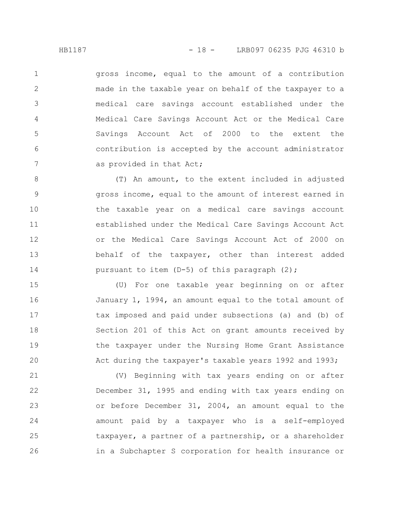gross income, equal to the amount of a contribution made in the taxable year on behalf of the taxpayer to a medical care savings account established under the Medical Care Savings Account Act or the Medical Care Savings Account Act of 2000 to the extent the contribution is accepted by the account administrator as provided in that Act; 1 2 3 4 5 6 7

(T) An amount, to the extent included in adjusted gross income, equal to the amount of interest earned in the taxable year on a medical care savings account established under the Medical Care Savings Account Act or the Medical Care Savings Account Act of 2000 on behalf of the taxpayer, other than interest added pursuant to item (D-5) of this paragraph (2); 8 9 10 11 12 13 14

(U) For one taxable year beginning on or after January 1, 1994, an amount equal to the total amount of tax imposed and paid under subsections (a) and (b) of Section 201 of this Act on grant amounts received by the taxpayer under the Nursing Home Grant Assistance Act during the taxpayer's taxable years 1992 and 1993; 15 16 17 18 19 20

(V) Beginning with tax years ending on or after December 31, 1995 and ending with tax years ending on or before December 31, 2004, an amount equal to the amount paid by a taxpayer who is a self-employed taxpayer, a partner of a partnership, or a shareholder in a Subchapter S corporation for health insurance or 21 22 23 24 25 26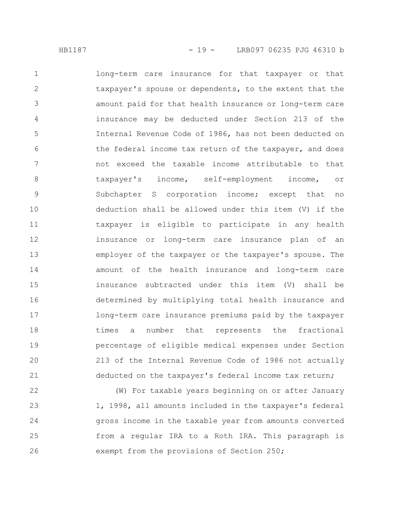long-term care insurance for that taxpayer or that taxpayer's spouse or dependents, to the extent that the amount paid for that health insurance or long-term care insurance may be deducted under Section 213 of the Internal Revenue Code of 1986, has not been deducted on the federal income tax return of the taxpayer, and does not exceed the taxable income attributable to that taxpayer's income, self-employment income, or Subchapter S corporation income; except that no deduction shall be allowed under this item (V) if the taxpayer is eligible to participate in any health insurance or long-term care insurance plan of an employer of the taxpayer or the taxpayer's spouse. The amount of the health insurance and long-term care insurance subtracted under this item (V) shall be determined by multiplying total health insurance and long-term care insurance premiums paid by the taxpayer times a number that represents the fractional percentage of eligible medical expenses under Section 213 of the Internal Revenue Code of 1986 not actually deducted on the taxpayer's federal income tax return; 1 2 3 4 5 6 7 8 9 10 11 12 13 14 15 16 17 18 19 20 21

(W) For taxable years beginning on or after January 1, 1998, all amounts included in the taxpayer's federal gross income in the taxable year from amounts converted from a regular IRA to a Roth IRA. This paragraph is exempt from the provisions of Section 250; 22 23 24 25 26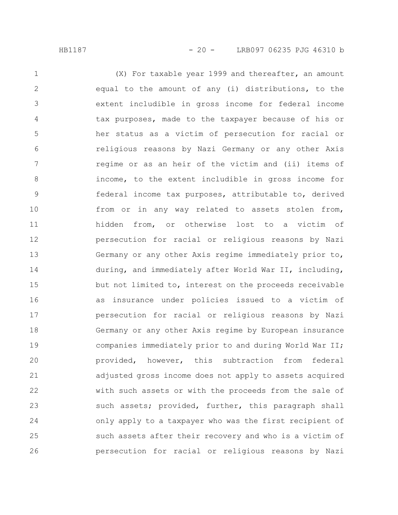(X) For taxable year 1999 and thereafter, an amount equal to the amount of any (i) distributions, to the extent includible in gross income for federal income tax purposes, made to the taxpayer because of his or her status as a victim of persecution for racial or religious reasons by Nazi Germany or any other Axis regime or as an heir of the victim and (ii) items of income, to the extent includible in gross income for federal income tax purposes, attributable to, derived from or in any way related to assets stolen from, hidden from, or otherwise lost to a victim of persecution for racial or religious reasons by Nazi Germany or any other Axis regime immediately prior to, during, and immediately after World War II, including, but not limited to, interest on the proceeds receivable as insurance under policies issued to a victim of persecution for racial or religious reasons by Nazi Germany or any other Axis regime by European insurance companies immediately prior to and during World War II; provided, however, this subtraction from federal adjusted gross income does not apply to assets acquired with such assets or with the proceeds from the sale of such assets; provided, further, this paragraph shall only apply to a taxpayer who was the first recipient of such assets after their recovery and who is a victim of persecution for racial or religious reasons by Nazi 1 2 3 4 5 6 7 8 9 10 11 12 13 14 15 16 17 18 19 20 21 22 23 24 25 26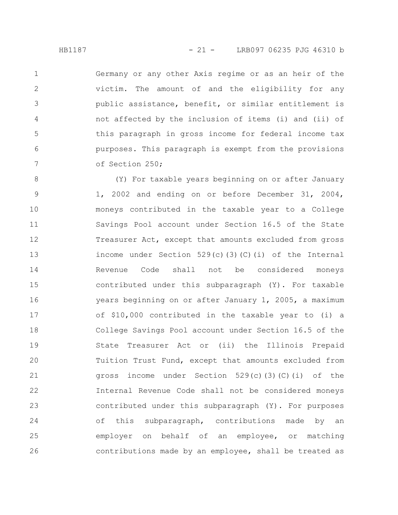Germany or any other Axis regime or as an heir of the victim. The amount of and the eligibility for any public assistance, benefit, or similar entitlement is not affected by the inclusion of items (i) and (ii) of this paragraph in gross income for federal income tax purposes. This paragraph is exempt from the provisions of Section 250; 1 2 3 4 5 6 7

(Y) For taxable years beginning on or after January 1, 2002 and ending on or before December 31, 2004, moneys contributed in the taxable year to a College Savings Pool account under Section 16.5 of the State Treasurer Act, except that amounts excluded from gross income under Section  $529(c)(3)(c)(i)$  of the Internal Revenue Code shall not be considered moneys contributed under this subparagraph (Y). For taxable years beginning on or after January 1, 2005, a maximum of \$10,000 contributed in the taxable year to (i) a College Savings Pool account under Section 16.5 of the State Treasurer Act or (ii) the Illinois Prepaid Tuition Trust Fund, except that amounts excluded from gross income under Section  $529(c)(3)(c)(i)$  of the Internal Revenue Code shall not be considered moneys contributed under this subparagraph (Y). For purposes of this subparagraph, contributions made by an employer on behalf of an employee, or matching contributions made by an employee, shall be treated as 8 9 10 11 12 13 14 15 16 17 18 19 20 21 22 23 24 25 26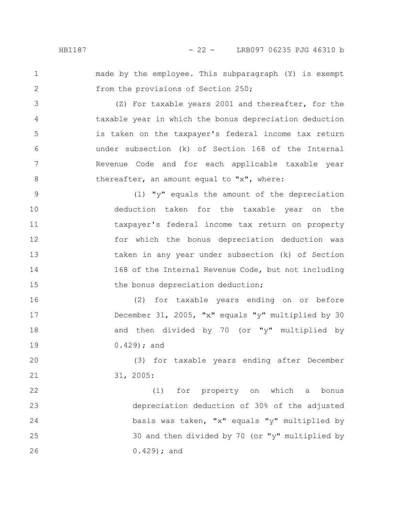1

2

3

4

5

6

7

8

16

17

18

19

made by the employee. This subparagraph (Y) is exempt from the provisions of Section 250;

(Z) For taxable years 2001 and thereafter, for the taxable year in which the bonus depreciation deduction is taken on the taxpayer's federal income tax return under subsection (k) of Section 168 of the Internal Revenue Code and for each applicable taxable year thereafter, an amount equal to "x", where:

(1) "y" equals the amount of the depreciation deduction taken for the taxable year on the taxpayer's federal income tax return on property for which the bonus depreciation deduction was taken in any year under subsection (k) of Section 168 of the Internal Revenue Code, but not including the bonus depreciation deduction; 9 10 11 12 13 14 15

(2) for taxable years ending on or before December 31, 2005, "x" equals "y" multiplied by 30 and then divided by 70 (or "y" multiplied by 0.429); and

(3) for taxable years ending after December 31, 2005: 20 21

(i) for property on which a bonus depreciation deduction of 30% of the adjusted basis was taken, "x" equals "y" multiplied by 30 and then divided by 70 (or "y" multiplied by 0.429); and 22 23 24 25 26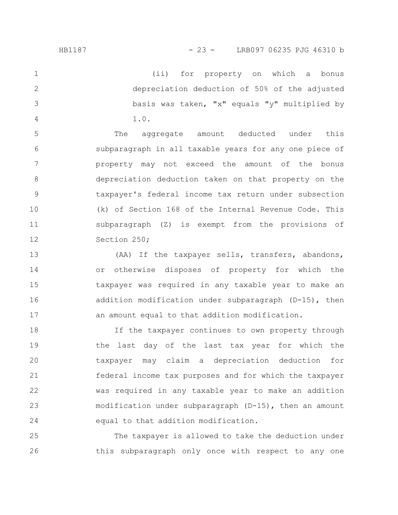(ii) for property on which a bonus depreciation deduction of 50% of the adjusted basis was taken, "x" equals "y" multiplied by 1.0. 1 2 3 4

The aggregate amount deducted under this subparagraph in all taxable years for any one piece of property may not exceed the amount of the bonus depreciation deduction taken on that property on the taxpayer's federal income tax return under subsection (k) of Section 168 of the Internal Revenue Code. This subparagraph (Z) is exempt from the provisions of Section 250; 5 6 7 8 9 10 11 12

(AA) If the taxpayer sells, transfers, abandons, or otherwise disposes of property for which the taxpayer was required in any taxable year to make an addition modification under subparagraph (D-15), then an amount equal to that addition modification. 13 14 15 16 17

If the taxpayer continues to own property through the last day of the last tax year for which the taxpayer may claim a depreciation deduction for federal income tax purposes and for which the taxpayer was required in any taxable year to make an addition modification under subparagraph (D-15), then an amount equal to that addition modification. 18 19 20 21 22 23 24

The taxpayer is allowed to take the deduction under this subparagraph only once with respect to any one 25 26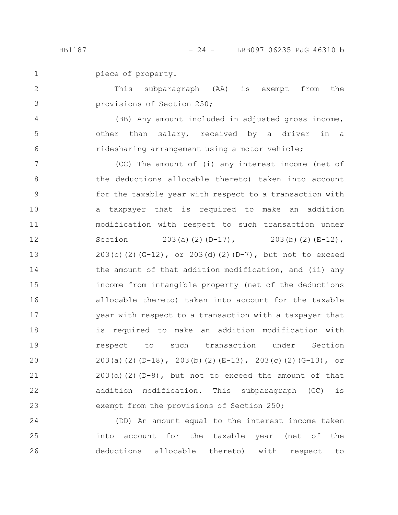piece of property. 1

This subparagraph (AA) is exempt from the provisions of Section 250; 2 3

(BB) Any amount included in adjusted gross income, other than salary, received by a driver in a ridesharing arrangement using a motor vehicle;

(CC) The amount of (i) any interest income (net of the deductions allocable thereto) taken into account for the taxable year with respect to a transaction with a taxpayer that is required to make an addition modification with respect to such transaction under Section 203(a)(2)(D-17), 203(b)(2)(E-12),  $203(c)(2)(G-12)$ , or  $203(d)(2)(D-7)$ , but not to exceed the amount of that addition modification, and (ii) any income from intangible property (net of the deductions allocable thereto) taken into account for the taxable year with respect to a transaction with a taxpayer that is required to make an addition modification with respect to such transaction under Section 203(a)(2)(D-18), 203(b)(2)(E-13), 203(c)(2)(G-13), or  $203(d)(2)(D-8)$ , but not to exceed the amount of that addition modification. This subparagraph (CC) is exempt from the provisions of Section 250; 7 8 9 10 11 12 13 14 15 16 17 18 19 20 21 22 23

(DD) An amount equal to the interest income taken into account for the taxable year (net of the deductions allocable thereto) with respect to 24 25 26

4

5

6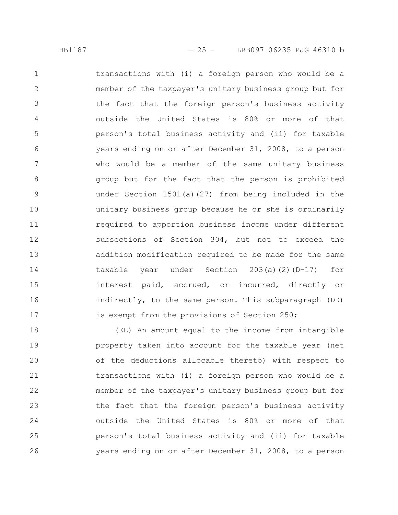transactions with (i) a foreign person who would be a member of the taxpayer's unitary business group but for the fact that the foreign person's business activity outside the United States is 80% or more of that person's total business activity and (ii) for taxable years ending on or after December 31, 2008, to a person who would be a member of the same unitary business group but for the fact that the person is prohibited under Section 1501(a)(27) from being included in the unitary business group because he or she is ordinarily required to apportion business income under different subsections of Section 304, but not to exceed the addition modification required to be made for the same taxable year under Section 203(a)(2)(D-17) for interest paid, accrued, or incurred, directly or indirectly, to the same person. This subparagraph (DD) is exempt from the provisions of Section 250; 1 2 3 4 5 6 7 8 9 10 11 12 13 14 15 16 17

(EE) An amount equal to the income from intangible property taken into account for the taxable year (net of the deductions allocable thereto) with respect to transactions with (i) a foreign person who would be a member of the taxpayer's unitary business group but for the fact that the foreign person's business activity outside the United States is 80% or more of that person's total business activity and (ii) for taxable years ending on or after December 31, 2008, to a person 18 19 20 21 22 23 24 25 26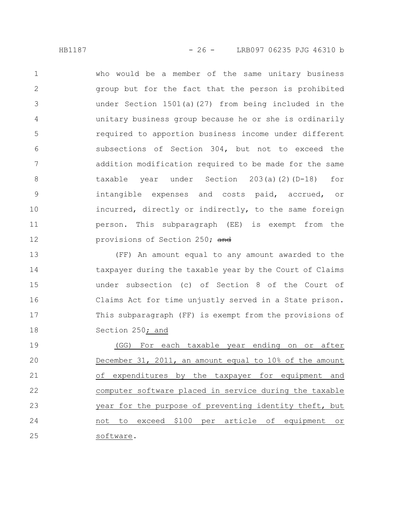HB1187 - 26 - LRB097 06235 PJG 46310 b

who would be a member of the same unitary business group but for the fact that the person is prohibited under Section 1501(a)(27) from being included in the unitary business group because he or she is ordinarily required to apportion business income under different subsections of Section 304, but not to exceed the addition modification required to be made for the same taxable year under Section 203(a)(2)(D-18) for intangible expenses and costs paid, accrued, or incurred, directly or indirectly, to the same foreign person. This subparagraph (EE) is exempt from the provisions of Section 250; and 1 2 3 4 5 6 7 8 9 10 11 12

(FF) An amount equal to any amount awarded to the taxpayer during the taxable year by the Court of Claims under subsection (c) of Section 8 of the Court of Claims Act for time unjustly served in a State prison. This subparagraph (FF) is exempt from the provisions of Section 250; and 13 14 15 16 17 18

(GG) For each taxable year ending on or after December 31, 2011, an amount equal to 10% of the amount of expenditures by the taxpayer for equipment and computer software placed in service during the taxable year for the purpose of preventing identity theft, but not to exceed \$100 per article of equipment or software. 19 20 21 22 23 24 25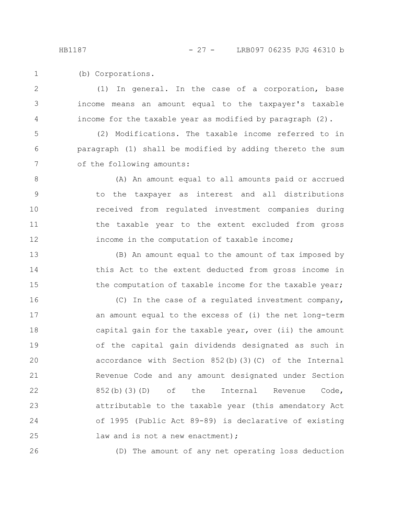(b) Corporations. 1

(1) In general. In the case of a corporation, base income means an amount equal to the taxpayer's taxable income for the taxable year as modified by paragraph (2). 2 3 4

(2) Modifications. The taxable income referred to in paragraph (1) shall be modified by adding thereto the sum of the following amounts: 5 6 7

(A) An amount equal to all amounts paid or accrued to the taxpayer as interest and all distributions received from regulated investment companies during the taxable year to the extent excluded from gross income in the computation of taxable income; 8 9 10 11 12

(B) An amount equal to the amount of tax imposed by this Act to the extent deducted from gross income in the computation of taxable income for the taxable year; 13 14 15

(C) In the case of a regulated investment company, an amount equal to the excess of (i) the net long-term capital gain for the taxable year, over (ii) the amount of the capital gain dividends designated as such in accordance with Section 852(b)(3)(C) of the Internal Revenue Code and any amount designated under Section 852(b)(3)(D) of the Internal Revenue Code, attributable to the taxable year (this amendatory Act of 1995 (Public Act 89-89) is declarative of existing law and is not a new enactment); 16 17 18 19 20 21 22 23 24 25

26

(D) The amount of any net operating loss deduction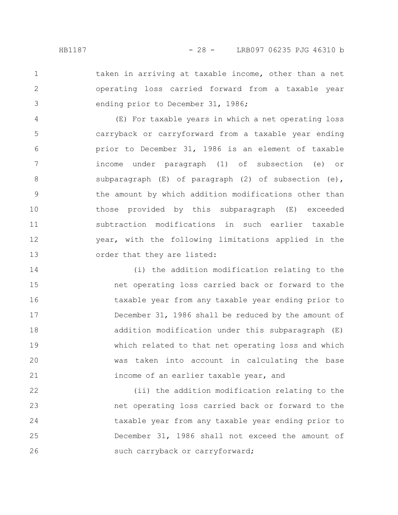1 2

3

taken in arriving at taxable income, other than a net operating loss carried forward from a taxable year ending prior to December 31, 1986;

(E) For taxable years in which a net operating loss carryback or carryforward from a taxable year ending prior to December 31, 1986 is an element of taxable income under paragraph (1) of subsection (e) or subparagraph (E) of paragraph (2) of subsection (e), the amount by which addition modifications other than those provided by this subparagraph (E) exceeded subtraction modifications in such earlier taxable year, with the following limitations applied in the order that they are listed: 4 5 6 7 8 9 10 11 12 13

(i) the addition modification relating to the net operating loss carried back or forward to the taxable year from any taxable year ending prior to December 31, 1986 shall be reduced by the amount of addition modification under this subparagraph (E) which related to that net operating loss and which was taken into account in calculating the base income of an earlier taxable year, and 14 15 16 17 18 19 20 21

(ii) the addition modification relating to the net operating loss carried back or forward to the taxable year from any taxable year ending prior to December 31, 1986 shall not exceed the amount of such carryback or carryforward; 22 23 24 25 26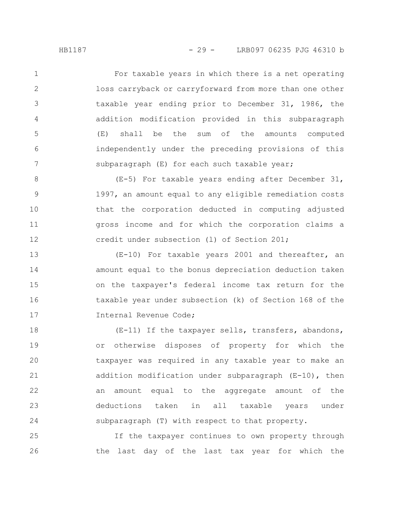For taxable years in which there is a net operating loss carryback or carryforward from more than one other taxable year ending prior to December 31, 1986, the addition modification provided in this subparagraph (E) shall be the sum of the amounts computed independently under the preceding provisions of this subparagraph (E) for each such taxable year; 1 2 3 4 5 6 7

(E-5) For taxable years ending after December 31, 1997, an amount equal to any eligible remediation costs that the corporation deducted in computing adjusted gross income and for which the corporation claims a credit under subsection (l) of Section 201; 8 9 10 11 12

(E-10) For taxable years 2001 and thereafter, an amount equal to the bonus depreciation deduction taken on the taxpayer's federal income tax return for the taxable year under subsection (k) of Section 168 of the Internal Revenue Code; 13 14 15 16 17

(E-11) If the taxpayer sells, transfers, abandons, or otherwise disposes of property for which the taxpayer was required in any taxable year to make an addition modification under subparagraph (E-10), then an amount equal to the aggregate amount of the deductions taken in all taxable years under subparagraph (T) with respect to that property. 18 19 20 21 22 23 24

If the taxpayer continues to own property through the last day of the last tax year for which the 25 26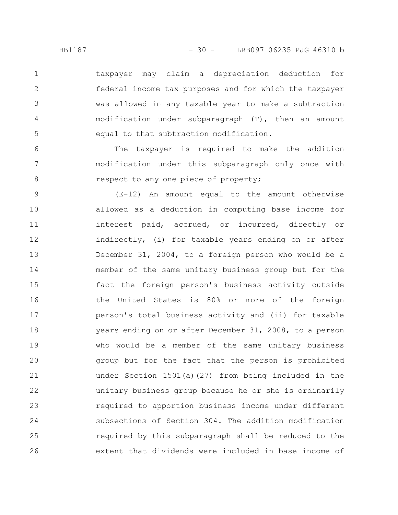taxpayer may claim a depreciation deduction for federal income tax purposes and for which the taxpayer was allowed in any taxable year to make a subtraction modification under subparagraph (T), then an amount equal to that subtraction modification. 1 2 3 5

The taxpayer is required to make the addition modification under this subparagraph only once with respect to any one piece of property;

(E-12) An amount equal to the amount otherwise allowed as a deduction in computing base income for interest paid, accrued, or incurred, directly or indirectly, (i) for taxable years ending on or after December 31, 2004, to a foreign person who would be a member of the same unitary business group but for the fact the foreign person's business activity outside the United States is 80% or more of the foreign person's total business activity and (ii) for taxable years ending on or after December 31, 2008, to a person who would be a member of the same unitary business group but for the fact that the person is prohibited under Section 1501(a)(27) from being included in the unitary business group because he or she is ordinarily required to apportion business income under different subsections of Section 304. The addition modification required by this subparagraph shall be reduced to the extent that dividends were included in base income of 9 10 11 12 13 14 15 16 17 18 19 20 21 22 23 24 25 26

4

6

7

8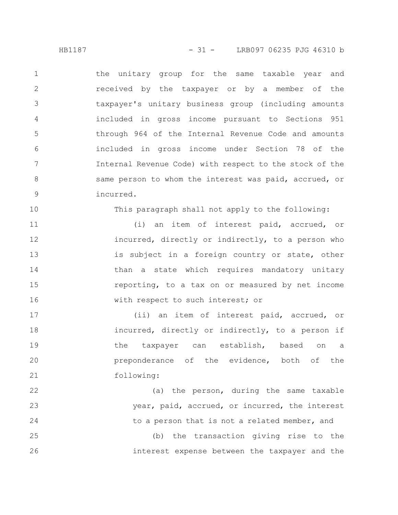the unitary group for the same taxable year and received by the taxpayer or by a member of the taxpayer's unitary business group (including amounts included in gross income pursuant to Sections 951 through 964 of the Internal Revenue Code and amounts included in gross income under Section 78 of the Internal Revenue Code) with respect to the stock of the same person to whom the interest was paid, accrued, or incurred. 1 2 3 4 5 6 7 8 9

This paragraph shall not apply to the following:

(i) an item of interest paid, accrued, or incurred, directly or indirectly, to a person who is subject in a foreign country or state, other than a state which requires mandatory unitary reporting, to a tax on or measured by net income with respect to such interest; or 11 12 13 14 15 16

(ii) an item of interest paid, accrued, or incurred, directly or indirectly, to a person if the taxpayer can establish, based on a preponderance of the evidence, both of the following: 17 18 19 20 21

(a) the person, during the same taxable year, paid, accrued, or incurred, the interest to a person that is not a related member, and 22 23 24

(b) the transaction giving rise to the interest expense between the taxpayer and the 25 26

10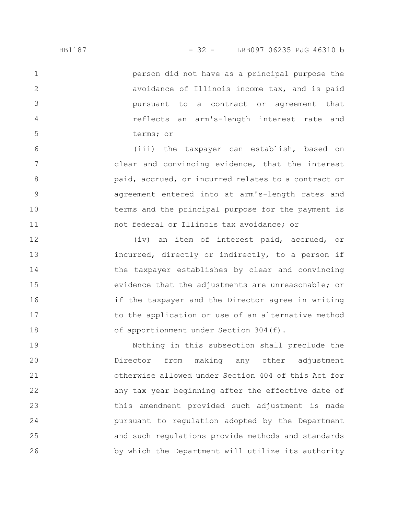person did not have as a principal purpose the avoidance of Illinois income tax, and is paid pursuant to a contract or agreement that reflects an arm's-length interest rate and terms; or 1 2 3 4 5

(iii) the taxpayer can establish, based on clear and convincing evidence, that the interest paid, accrued, or incurred relates to a contract or agreement entered into at arm's-length rates and terms and the principal purpose for the payment is not federal or Illinois tax avoidance; or 6 7 8 9 10 11

(iv) an item of interest paid, accrued, or incurred, directly or indirectly, to a person if the taxpayer establishes by clear and convincing evidence that the adjustments are unreasonable; or if the taxpayer and the Director agree in writing to the application or use of an alternative method of apportionment under Section 304(f). 12 13 14 15 16 17 18

Nothing in this subsection shall preclude the Director from making any other adjustment otherwise allowed under Section 404 of this Act for any tax year beginning after the effective date of this amendment provided such adjustment is made pursuant to regulation adopted by the Department and such regulations provide methods and standards by which the Department will utilize its authority 19 20 21 22 23 24 25 26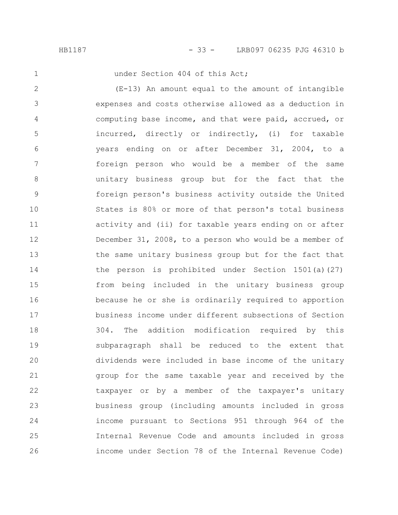1

under Section 404 of this Act;

(E-13) An amount equal to the amount of intangible expenses and costs otherwise allowed as a deduction in computing base income, and that were paid, accrued, or incurred, directly or indirectly, (i) for taxable years ending on or after December 31, 2004, to a foreign person who would be a member of the same unitary business group but for the fact that the foreign person's business activity outside the United States is 80% or more of that person's total business activity and (ii) for taxable years ending on or after December 31, 2008, to a person who would be a member of the same unitary business group but for the fact that the person is prohibited under Section 1501(a)(27) from being included in the unitary business group because he or she is ordinarily required to apportion business income under different subsections of Section 304. The addition modification required by this subparagraph shall be reduced to the extent that dividends were included in base income of the unitary group for the same taxable year and received by the taxpayer or by a member of the taxpayer's unitary business group (including amounts included in gross income pursuant to Sections 951 through 964 of the Internal Revenue Code and amounts included in gross income under Section 78 of the Internal Revenue Code) 2 3 4 5 6 7 8 9 10 11 12 13 14 15 16 17 18 19 20 21 22 23 24 25 26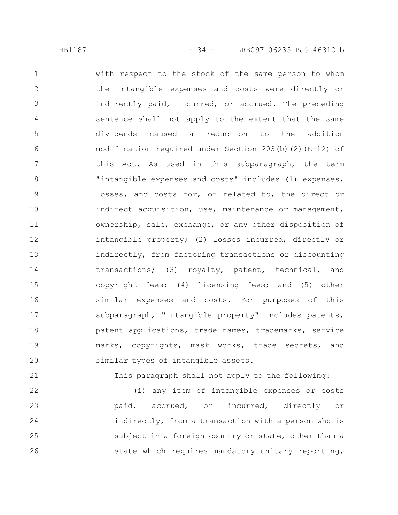with respect to the stock of the same person to whom the intangible expenses and costs were directly or indirectly paid, incurred, or accrued. The preceding sentence shall not apply to the extent that the same dividends caused a reduction to the addition modification required under Section 203(b)(2)(E-12) of this Act. As used in this subparagraph, the term "intangible expenses and costs" includes (1) expenses, losses, and costs for, or related to, the direct or indirect acquisition, use, maintenance or management, ownership, sale, exchange, or any other disposition of intangible property; (2) losses incurred, directly or indirectly, from factoring transactions or discounting transactions; (3) royalty, patent, technical, and copyright fees; (4) licensing fees; and (5) other similar expenses and costs. For purposes of this subparagraph, "intangible property" includes patents, patent applications, trade names, trademarks, service marks, copyrights, mask works, trade secrets, and similar types of intangible assets. 1 2 3 4 5 6 7 8 9 10 11 12 13 14 15 16 17 18 19 20

21

This paragraph shall not apply to the following:

(i) any item of intangible expenses or costs paid, accrued, or incurred, directly or indirectly, from a transaction with a person who is subject in a foreign country or state, other than a state which requires mandatory unitary reporting, 22 23 24 25 26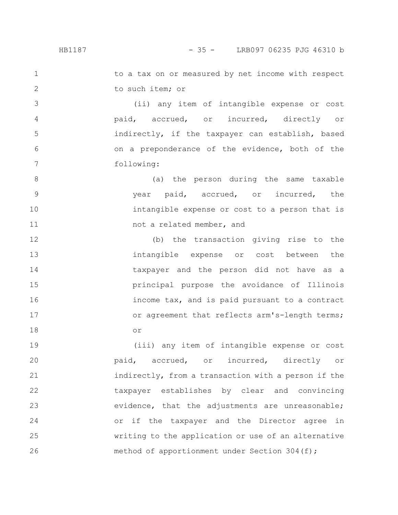### HB1187 - 35 - LRB097 06235 PJG 46310 b

1

2

3

4

5

6

7

to a tax on or measured by net income with respect to such item; or

(ii) any item of intangible expense or cost paid, accrued, or incurred, directly or indirectly, if the taxpayer can establish, based on a preponderance of the evidence, both of the following:

(a) the person during the same taxable year paid, accrued, or incurred, the intangible expense or cost to a person that is not a related member, and 8 9 10 11

(b) the transaction giving rise to the intangible expense or cost between the taxpayer and the person did not have as a principal purpose the avoidance of Illinois income tax, and is paid pursuant to a contract or agreement that reflects arm's-length terms; or 12 13 14 15 16 17 18

(iii) any item of intangible expense or cost paid, accrued, or incurred, directly or indirectly, from a transaction with a person if the taxpayer establishes by clear and convincing evidence, that the adjustments are unreasonable; or if the taxpayer and the Director agree in writing to the application or use of an alternative method of apportionment under Section 304(f); 19 20 21 22 23 24 25 26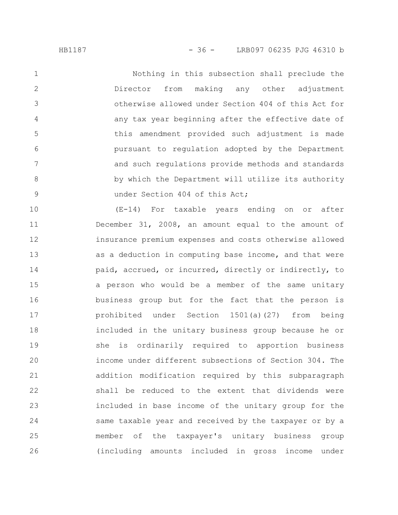Nothing in this subsection shall preclude the Director from making any other adjustment otherwise allowed under Section 404 of this Act for any tax year beginning after the effective date of this amendment provided such adjustment is made pursuant to regulation adopted by the Department and such regulations provide methods and standards by which the Department will utilize its authority under Section 404 of this Act; 1 2 3 4 5 6 7 8 9

(E-14) For taxable years ending on or after December 31, 2008, an amount equal to the amount of insurance premium expenses and costs otherwise allowed as a deduction in computing base income, and that were paid, accrued, or incurred, directly or indirectly, to a person who would be a member of the same unitary business group but for the fact that the person is prohibited under Section 1501(a)(27) from being included in the unitary business group because he or she is ordinarily required to apportion business income under different subsections of Section 304. The addition modification required by this subparagraph shall be reduced to the extent that dividends were included in base income of the unitary group for the same taxable year and received by the taxpayer or by a member of the taxpayer's unitary business group (including amounts included in gross income under 10 11 12 13 14 15 16 17 18 19 20 21 22 23 24 25 26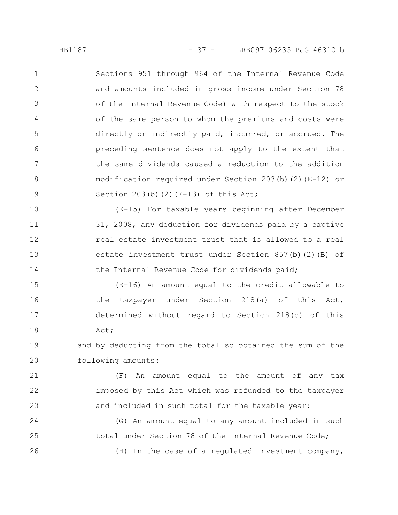Sections 951 through 964 of the Internal Revenue Code and amounts included in gross income under Section 78 of the Internal Revenue Code) with respect to the stock of the same person to whom the premiums and costs were directly or indirectly paid, incurred, or accrued. The preceding sentence does not apply to the extent that the same dividends caused a reduction to the addition modification required under Section 203(b)(2)(E-12) or Section  $203(b)$  (2) (E-13) of this Act; 1 2 3 4 5 6 7 8 9

(E-15) For taxable years beginning after December 31, 2008, any deduction for dividends paid by a captive real estate investment trust that is allowed to a real estate investment trust under Section 857(b)(2)(B) of the Internal Revenue Code for dividends paid; 10 11 12 13 14

(E-16) An amount equal to the credit allowable to the taxpayer under Section 218(a) of this Act, determined without regard to Section 218(c) of this Act; 15 16 17 18

and by deducting from the total so obtained the sum of the following amounts: 19 20

(F) An amount equal to the amount of any tax imposed by this Act which was refunded to the taxpayer and included in such total for the taxable year; 21 22 23

(G) An amount equal to any amount included in such total under Section 78 of the Internal Revenue Code; (H) In the case of a regulated investment company, 24 25 26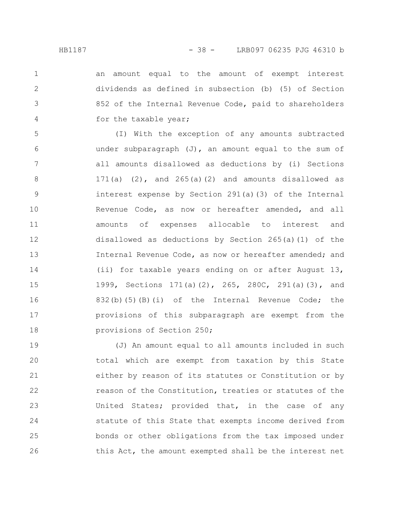2

3

4

an amount equal to the amount of exempt interest dividends as defined in subsection (b) (5) of Section 852 of the Internal Revenue Code, paid to shareholders for the taxable year;

(I) With the exception of any amounts subtracted under subparagraph  $(J)$ , an amount equal to the sum of all amounts disallowed as deductions by (i) Sections 171(a)  $(2)$ , and 265(a)(2) and amounts disallowed as interest expense by Section 291(a)(3) of the Internal Revenue Code, as now or hereafter amended, and all amounts of expenses allocable to interest and disallowed as deductions by Section 265(a)(1) of the Internal Revenue Code, as now or hereafter amended; and (ii) for taxable years ending on or after August 13, 1999, Sections 171(a)(2), 265, 280C, 291(a)(3), and 832(b)(5)(B)(i) of the Internal Revenue Code; the provisions of this subparagraph are exempt from the provisions of Section 250; 5 6 7 8 9 10 11 12 13 14 15 16 17 18

(J) An amount equal to all amounts included in such total which are exempt from taxation by this State either by reason of its statutes or Constitution or by reason of the Constitution, treaties or statutes of the United States; provided that, in the case of any statute of this State that exempts income derived from bonds or other obligations from the tax imposed under this Act, the amount exempted shall be the interest net 19 20 21 22 23 24 25 26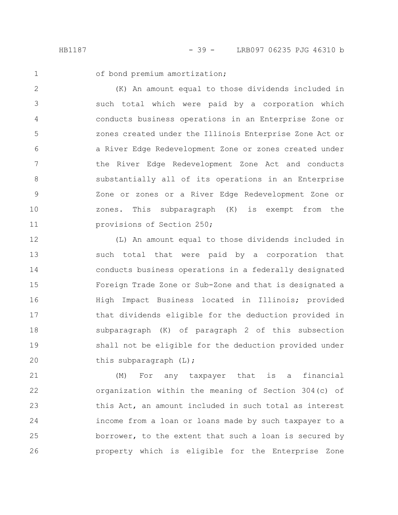2

3

4

5

6

7

8

9

10

11

of bond premium amortization;

(K) An amount equal to those dividends included in such total which were paid by a corporation which conducts business operations in an Enterprise Zone or zones created under the Illinois Enterprise Zone Act or a River Edge Redevelopment Zone or zones created under the River Edge Redevelopment Zone Act and conducts substantially all of its operations in an Enterprise Zone or zones or a River Edge Redevelopment Zone or zones. This subparagraph (K) is exempt from the provisions of Section 250;

(L) An amount equal to those dividends included in such total that were paid by a corporation that conducts business operations in a federally designated Foreign Trade Zone or Sub-Zone and that is designated a High Impact Business located in Illinois; provided that dividends eligible for the deduction provided in subparagraph (K) of paragraph 2 of this subsection shall not be eligible for the deduction provided under this subparagraph (L); 12 13 14 15 16 17 18 19 20

(M) For any taxpayer that is a financial organization within the meaning of Section 304(c) of this Act, an amount included in such total as interest income from a loan or loans made by such taxpayer to a borrower, to the extent that such a loan is secured by property which is eligible for the Enterprise Zone 21 22 23 24 25 26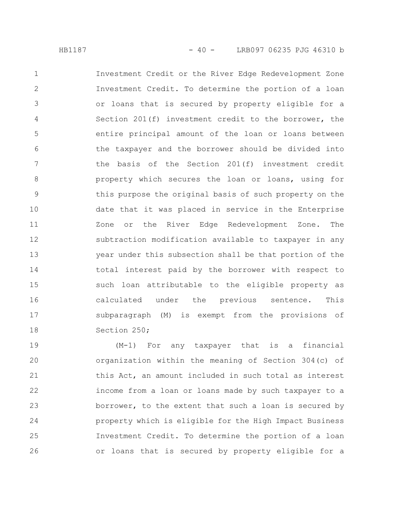Investment Credit or the River Edge Redevelopment Zone Investment Credit. To determine the portion of a loan or loans that is secured by property eligible for a Section 201(f) investment credit to the borrower, the entire principal amount of the loan or loans between the taxpayer and the borrower should be divided into the basis of the Section 201(f) investment credit property which secures the loan or loans, using for this purpose the original basis of such property on the date that it was placed in service in the Enterprise Zone or the River Edge Redevelopment Zone. The subtraction modification available to taxpayer in any year under this subsection shall be that portion of the total interest paid by the borrower with respect to such loan attributable to the eligible property as calculated under the previous sentence. This subparagraph (M) is exempt from the provisions of Section 250; 1 2 3 4 5 6 7 8 9 10 11 12 13 14 15 16 17 18

(M-1) For any taxpayer that is a financial organization within the meaning of Section 304(c) of this Act, an amount included in such total as interest income from a loan or loans made by such taxpayer to a borrower, to the extent that such a loan is secured by property which is eligible for the High Impact Business Investment Credit. To determine the portion of a loan or loans that is secured by property eligible for a 19 20 21 22 23 24 25 26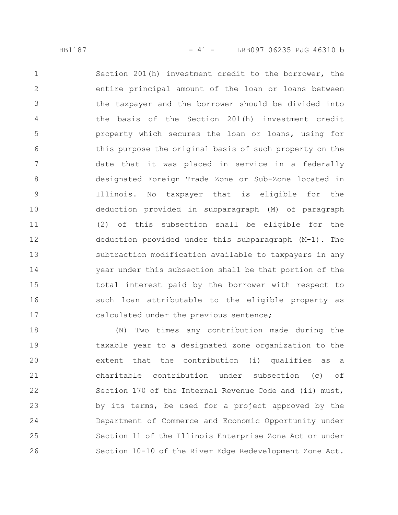Section 201(h) investment credit to the borrower, the entire principal amount of the loan or loans between the taxpayer and the borrower should be divided into the basis of the Section 201(h) investment credit property which secures the loan or loans, using for this purpose the original basis of such property on the date that it was placed in service in a federally designated Foreign Trade Zone or Sub-Zone located in Illinois. No taxpayer that is eligible for the deduction provided in subparagraph (M) of paragraph (2) of this subsection shall be eligible for the deduction provided under this subparagraph (M-1). The subtraction modification available to taxpayers in any year under this subsection shall be that portion of the total interest paid by the borrower with respect to such loan attributable to the eligible property as calculated under the previous sentence; 1 2 3 4 5 6 7 8 9 10 11 12 13 14 15 16 17

(N) Two times any contribution made during the taxable year to a designated zone organization to the extent that the contribution (i) qualifies as a charitable contribution under subsection (c) of Section 170 of the Internal Revenue Code and (ii) must, by its terms, be used for a project approved by the Department of Commerce and Economic Opportunity under Section 11 of the Illinois Enterprise Zone Act or under Section 10-10 of the River Edge Redevelopment Zone Act. 18 19 20 21 22 23 24 25 26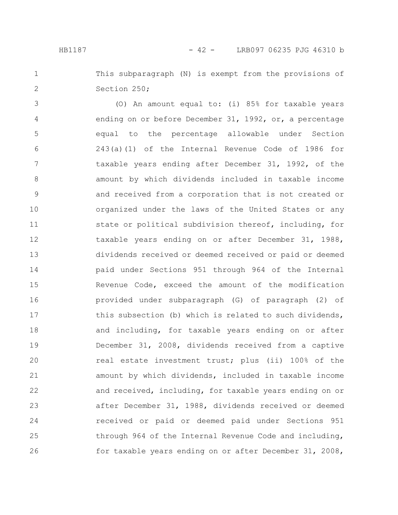This subparagraph (N) is exempt from the provisions of Section 250; 1 2

(O) An amount equal to: (i) 85% for taxable years ending on or before December 31, 1992, or, a percentage equal to the percentage allowable under Section 243(a)(1) of the Internal Revenue Code of 1986 for taxable years ending after December 31, 1992, of the amount by which dividends included in taxable income and received from a corporation that is not created or organized under the laws of the United States or any state or political subdivision thereof, including, for taxable years ending on or after December 31, 1988, dividends received or deemed received or paid or deemed paid under Sections 951 through 964 of the Internal Revenue Code, exceed the amount of the modification provided under subparagraph (G) of paragraph (2) of this subsection (b) which is related to such dividends, and including, for taxable years ending on or after December 31, 2008, dividends received from a captive real estate investment trust; plus (ii) 100% of the amount by which dividends, included in taxable income and received, including, for taxable years ending on or after December 31, 1988, dividends received or deemed received or paid or deemed paid under Sections 951 through 964 of the Internal Revenue Code and including, for taxable years ending on or after December 31, 2008, 3 4 5 6 7 8 9 10 11 12 13 14 15 16 17 18 19 20 21 22 23 24 25 26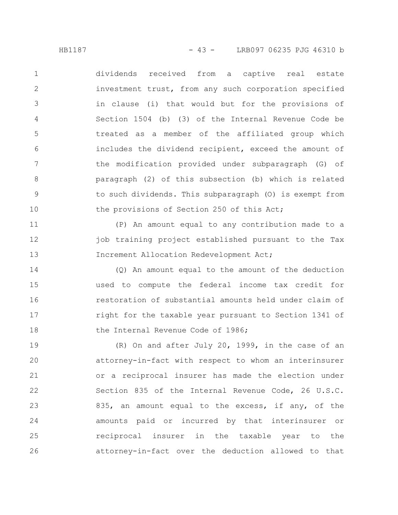HB1187 - 43 - LRB097 06235 PJG 46310 b

dividends received from a captive real estate investment trust, from any such corporation specified in clause (i) that would but for the provisions of Section 1504 (b) (3) of the Internal Revenue Code be treated as a member of the affiliated group which includes the dividend recipient, exceed the amount of the modification provided under subparagraph (G) of paragraph (2) of this subsection (b) which is related to such dividends. This subparagraph (O) is exempt from the provisions of Section 250 of this Act; 1 2 3 4 5 6 7 8 9 10

(P) An amount equal to any contribution made to a job training project established pursuant to the Tax Increment Allocation Redevelopment Act; 11 12 13

(Q) An amount equal to the amount of the deduction used to compute the federal income tax credit for restoration of substantial amounts held under claim of right for the taxable year pursuant to Section 1341 of the Internal Revenue Code of 1986; 14 15 16 17 18

(R) On and after July 20, 1999, in the case of an attorney-in-fact with respect to whom an interinsurer or a reciprocal insurer has made the election under Section 835 of the Internal Revenue Code, 26 U.S.C. 835, an amount equal to the excess, if any, of the amounts paid or incurred by that interinsurer or reciprocal insurer in the taxable year to the attorney-in-fact over the deduction allowed to that 19 20 21 22 23 24 25 26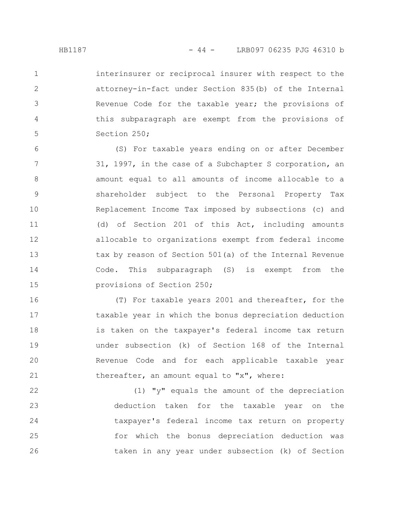2

3

4

5

interinsurer or reciprocal insurer with respect to the attorney-in-fact under Section 835(b) of the Internal Revenue Code for the taxable year; the provisions of this subparagraph are exempt from the provisions of Section 250;

(S) For taxable years ending on or after December 31, 1997, in the case of a Subchapter S corporation, an amount equal to all amounts of income allocable to a shareholder subject to the Personal Property Tax Replacement Income Tax imposed by subsections (c) and (d) of Section 201 of this Act, including amounts allocable to organizations exempt from federal income tax by reason of Section 501(a) of the Internal Revenue Code. This subparagraph (S) is exempt from the provisions of Section 250; 6 7 8 9 10 11 12 13 14 15

(T) For taxable years 2001 and thereafter, for the taxable year in which the bonus depreciation deduction is taken on the taxpayer's federal income tax return under subsection (k) of Section 168 of the Internal Revenue Code and for each applicable taxable year thereafter, an amount equal to "x", where: 16 17 18 19 20 21

(1) "y" equals the amount of the depreciation deduction taken for the taxable year on the taxpayer's federal income tax return on property for which the bonus depreciation deduction was taken in any year under subsection (k) of Section 22 23 24 25 26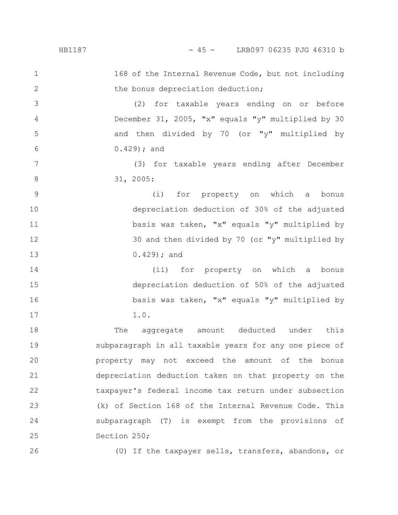## HB1187 - 45 - LRB097 06235 PJG 46310 b

168 of the Internal Revenue Code, but not including the bonus depreciation deduction; (2) for taxable years ending on or before December 31, 2005, "x" equals "y" multiplied by 30 and then divided by 70 (or "y" multiplied by 0.429); and (3) for taxable years ending after December 31, 2005: (i) for property on which a bonus depreciation deduction of 30% of the adjusted basis was taken, "x" equals "y" multiplied by 30 and then divided by 70 (or "y" multiplied by 0.429); and (ii) for property on which a bonus depreciation deduction of 50% of the adjusted basis was taken, "x" equals "y" multiplied by 1.0. The aggregate amount deducted under this subparagraph in all taxable years for any one piece of property may not exceed the amount of the bonus depreciation deduction taken on that property on the taxpayer's federal income tax return under subsection (k) of Section 168 of the Internal Revenue Code. This 1 2 3 4 5 6 7 8 9 10 11 12 13 14 15 16 17 18 19 20 21 22 23

Section 250; 25

26

24

(U) If the taxpayer sells, transfers, abandons, or

subparagraph (T) is exempt from the provisions of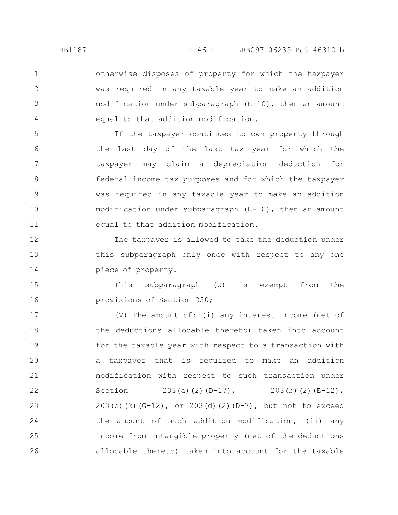otherwise disposes of property for which the taxpayer was required in any taxable year to make an addition modification under subparagraph (E-10), then an amount equal to that addition modification.

If the taxpayer continues to own property through the last day of the last tax year for which the taxpayer may claim a depreciation deduction for federal income tax purposes and for which the taxpayer was required in any taxable year to make an addition modification under subparagraph (E-10), then an amount equal to that addition modification. 5 6 7 8 9 10 11

The taxpayer is allowed to take the deduction under this subparagraph only once with respect to any one piece of property. 12 13 14

This subparagraph (U) is exempt from the provisions of Section 250; 15 16

(V) The amount of: (i) any interest income (net of the deductions allocable thereto) taken into account for the taxable year with respect to a transaction with a taxpayer that is required to make an addition modification with respect to such transaction under Section 203(a)(2)(D-17), 203(b)(2)(E-12), 203(c)(2)(G-12), or 203(d)(2)(D-7), but not to exceed the amount of such addition modification, (ii) any income from intangible property (net of the deductions allocable thereto) taken into account for the taxable 17 18 19 20 21 22 23 24 25 26

1

2

3

4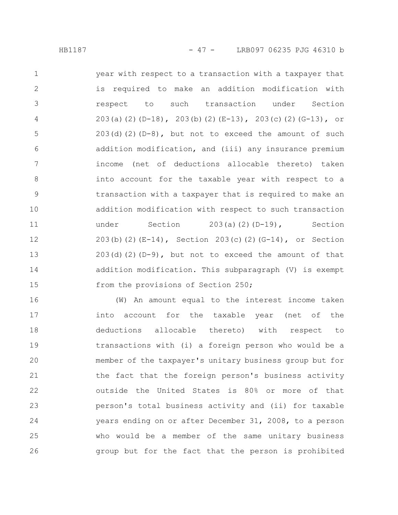year with respect to a transaction with a taxpayer that is required to make an addition modification with respect to such transaction under Section 203(a)(2)(D-18), 203(b)(2)(E-13), 203(c)(2)(G-13), or  $203$ (d)(2)(D-8), but not to exceed the amount of such addition modification, and (iii) any insurance premium income (net of deductions allocable thereto) taken into account for the taxable year with respect to a transaction with a taxpayer that is required to make an addition modification with respect to such transaction under Section 203(a)(2)(D-19), Section 203(b)(2)(E-14), Section 203(c)(2)(G-14), or Section  $203(d)(2)(D-9)$ , but not to exceed the amount of that addition modification. This subparagraph (V) is exempt from the provisions of Section 250; 1 2 3 4 5 6 7 8 9 10 11 12 13 14 15

(W) An amount equal to the interest income taken into account for the taxable year (net of the deductions allocable thereto) with respect to transactions with (i) a foreign person who would be a member of the taxpayer's unitary business group but for the fact that the foreign person's business activity outside the United States is 80% or more of that person's total business activity and (ii) for taxable years ending on or after December 31, 2008, to a person who would be a member of the same unitary business group but for the fact that the person is prohibited 16 17 18 19 20 21 22 23 24 25 26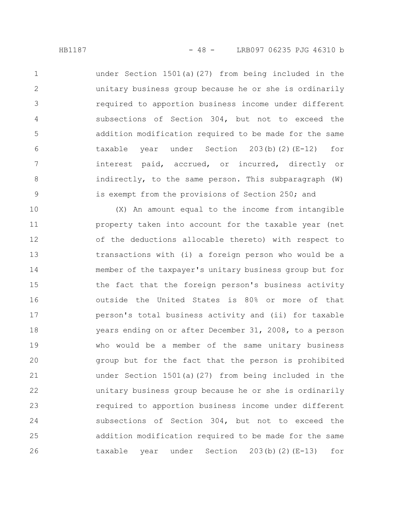under Section 1501(a)(27) from being included in the unitary business group because he or she is ordinarily required to apportion business income under different subsections of Section 304, but not to exceed the addition modification required to be made for the same taxable year under Section 203(b)(2)(E-12) for interest paid, accrued, or incurred, directly or indirectly, to the same person. This subparagraph (W) is exempt from the provisions of Section 250; and 1 2 3 4 5 6 7 8 9

(X) An amount equal to the income from intangible property taken into account for the taxable year (net of the deductions allocable thereto) with respect to transactions with (i) a foreign person who would be a member of the taxpayer's unitary business group but for the fact that the foreign person's business activity outside the United States is 80% or more of that person's total business activity and (ii) for taxable years ending on or after December 31, 2008, to a person who would be a member of the same unitary business group but for the fact that the person is prohibited under Section 1501(a)(27) from being included in the unitary business group because he or she is ordinarily required to apportion business income under different subsections of Section 304, but not to exceed the addition modification required to be made for the same taxable year under Section 203(b)(2)(E-13) for 10 11 12 13 14 15 16 17 18 19 20 21 22 23 24 25 26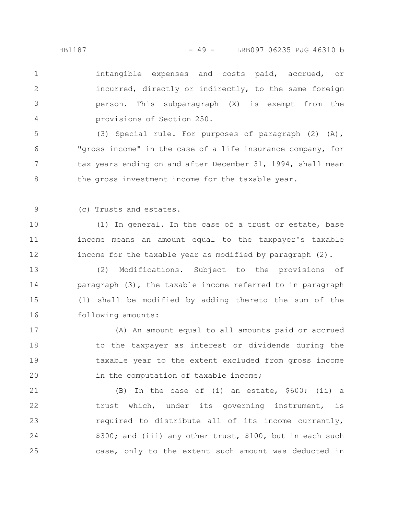intangible expenses and costs paid, accrued, or incurred, directly or indirectly, to the same foreign person. This subparagraph (X) is exempt from the provisions of Section 250. 1 2 3 4

(3) Special rule. For purposes of paragraph (2) (A), "gross income" in the case of a life insurance company, for tax years ending on and after December 31, 1994, shall mean the gross investment income for the taxable year. 5 6 7 8

(c) Trusts and estates. 9

(1) In general. In the case of a trust or estate, base income means an amount equal to the taxpayer's taxable income for the taxable year as modified by paragraph (2). 10 11 12

(2) Modifications. Subject to the provisions of paragraph (3), the taxable income referred to in paragraph (1) shall be modified by adding thereto the sum of the following amounts: 13 14 15 16

(A) An amount equal to all amounts paid or accrued to the taxpayer as interest or dividends during the taxable year to the extent excluded from gross income in the computation of taxable income; 17 18 19 20

(B) In the case of (i) an estate, \$600; (ii) a trust which, under its governing instrument, is required to distribute all of its income currently, \$300; and (iii) any other trust, \$100, but in each such case, only to the extent such amount was deducted in 21 22 23 24 25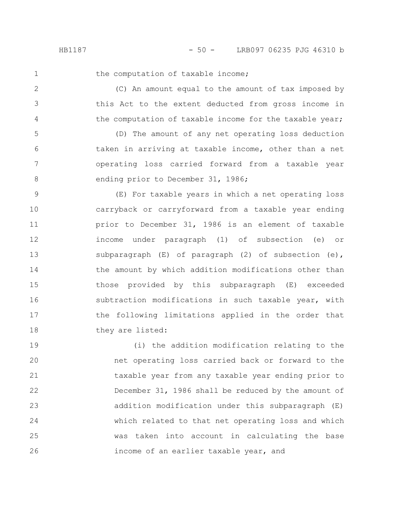2

3

4

the computation of taxable income;

(C) An amount equal to the amount of tax imposed by this Act to the extent deducted from gross income in the computation of taxable income for the taxable year;

(D) The amount of any net operating loss deduction taken in arriving at taxable income, other than a net operating loss carried forward from a taxable year ending prior to December 31, 1986; 5 6 7 8

(E) For taxable years in which a net operating loss carryback or carryforward from a taxable year ending prior to December 31, 1986 is an element of taxable income under paragraph (1) of subsection (e) or subparagraph (E) of paragraph (2) of subsection (e), the amount by which addition modifications other than those provided by this subparagraph (E) exceeded subtraction modifications in such taxable year, with the following limitations applied in the order that they are listed: 9 10 11 12 13 14 15 16 17 18

(i) the addition modification relating to the net operating loss carried back or forward to the taxable year from any taxable year ending prior to December 31, 1986 shall be reduced by the amount of addition modification under this subparagraph (E) which related to that net operating loss and which was taken into account in calculating the base income of an earlier taxable year, and 19 20 21 22 23 24 25 26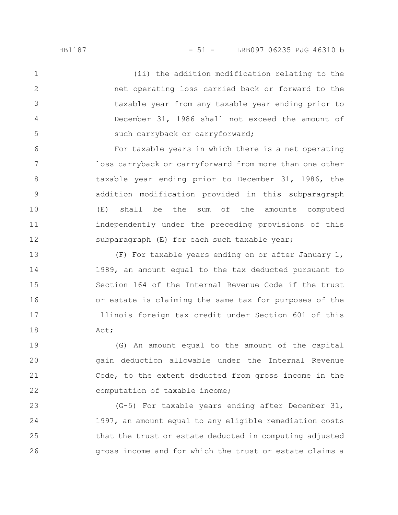(ii) the addition modification relating to the net operating loss carried back or forward to the taxable year from any taxable year ending prior to December 31, 1986 shall not exceed the amount of such carryback or carryforward; 1 2 3 4 5

For taxable years in which there is a net operating loss carryback or carryforward from more than one other taxable year ending prior to December 31, 1986, the addition modification provided in this subparagraph (E) shall be the sum of the amounts computed independently under the preceding provisions of this subparagraph (E) for each such taxable year; 6 7 8 9 10 11 12

(F) For taxable years ending on or after January 1, 1989, an amount equal to the tax deducted pursuant to Section 164 of the Internal Revenue Code if the trust or estate is claiming the same tax for purposes of the Illinois foreign tax credit under Section 601 of this Act; 13 14 15 16 17 18

(G) An amount equal to the amount of the capital gain deduction allowable under the Internal Revenue Code, to the extent deducted from gross income in the computation of taxable income; 19 20 21 22

(G-5) For taxable years ending after December 31, 1997, an amount equal to any eligible remediation costs that the trust or estate deducted in computing adjusted gross income and for which the trust or estate claims a 23 24 25 26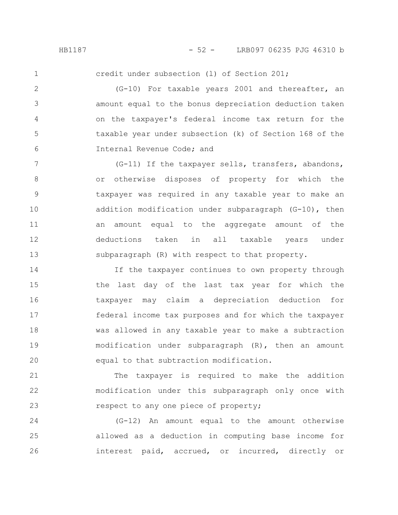2

3

4

5

6

credit under subsection (l) of Section 201;

(G-10) For taxable years 2001 and thereafter, an amount equal to the bonus depreciation deduction taken on the taxpayer's federal income tax return for the taxable year under subsection (k) of Section 168 of the Internal Revenue Code; and

(G-11) If the taxpayer sells, transfers, abandons, or otherwise disposes of property for which the taxpayer was required in any taxable year to make an addition modification under subparagraph (G-10), then an amount equal to the aggregate amount of the deductions taken in all taxable years under subparagraph (R) with respect to that property. 7 8 9 10 11 12 13

If the taxpayer continues to own property through the last day of the last tax year for which the taxpayer may claim a depreciation deduction for federal income tax purposes and for which the taxpayer was allowed in any taxable year to make a subtraction modification under subparagraph (R), then an amount equal to that subtraction modification. 14 15 16 17 18 19 20

The taxpayer is required to make the addition modification under this subparagraph only once with respect to any one piece of property; 21 22 23

(G-12) An amount equal to the amount otherwise allowed as a deduction in computing base income for interest paid, accrued, or incurred, directly or 24 25 26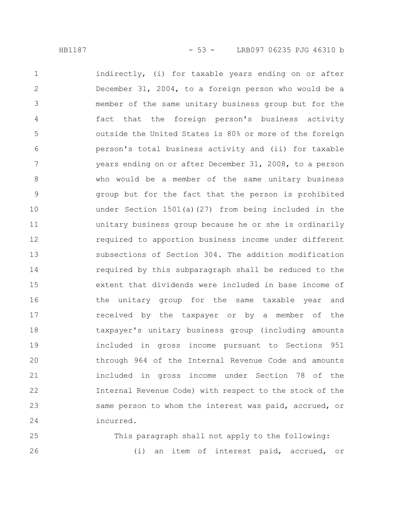indirectly, (i) for taxable years ending on or after December 31, 2004, to a foreign person who would be a member of the same unitary business group but for the fact that the foreign person's business activity outside the United States is 80% or more of the foreign person's total business activity and (ii) for taxable years ending on or after December 31, 2008, to a person who would be a member of the same unitary business group but for the fact that the person is prohibited under Section 1501(a)(27) from being included in the unitary business group because he or she is ordinarily required to apportion business income under different subsections of Section 304. The addition modification required by this subparagraph shall be reduced to the extent that dividends were included in base income of the unitary group for the same taxable year and received by the taxpayer or by a member of the taxpayer's unitary business group (including amounts included in gross income pursuant to Sections 951 through 964 of the Internal Revenue Code and amounts included in gross income under Section 78 of the Internal Revenue Code) with respect to the stock of the same person to whom the interest was paid, accrued, or incurred. 1 2 3 4 5 6 7 8 9 10 11 12 13 14 15 16 17 18 19 20 21 22 23 24

This paragraph shall not apply to the following: (i) an item of interest paid, accrued, or 25 26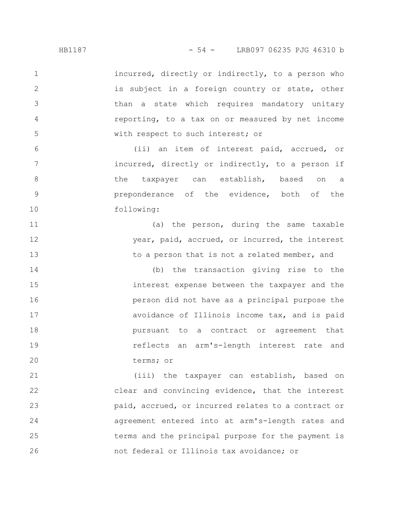incurred, directly or indirectly, to a person who is subject in a foreign country or state, other than a state which requires mandatory unitary reporting, to a tax on or measured by net income with respect to such interest; or 1 2 3 5

(ii) an item of interest paid, accrued, or incurred, directly or indirectly, to a person if the taxpayer can establish, based on a preponderance of the evidence, both of the following:

(a) the person, during the same taxable year, paid, accrued, or incurred, the interest to a person that is not a related member, and 11 12 13

(b) the transaction giving rise to the interest expense between the taxpayer and the person did not have as a principal purpose the avoidance of Illinois income tax, and is paid pursuant to a contract or agreement that reflects an arm's-length interest rate and terms; or 14 15 16 17 18 19 20

(iii) the taxpayer can establish, based on clear and convincing evidence, that the interest paid, accrued, or incurred relates to a contract or agreement entered into at arm's-length rates and terms and the principal purpose for the payment is not federal or Illinois tax avoidance; or 21 22 23 24 25 26

4

6

7

8

9

10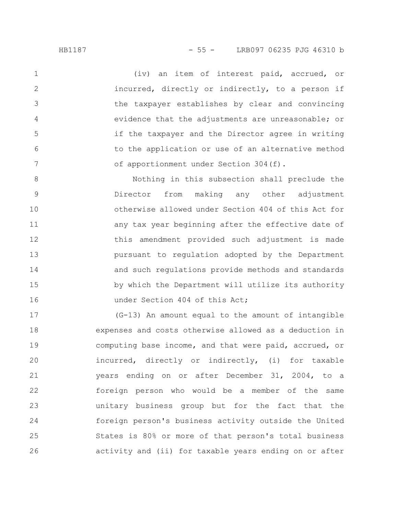(iv) an item of interest paid, accrued, or incurred, directly or indirectly, to a person if the taxpayer establishes by clear and convincing evidence that the adjustments are unreasonable; or if the taxpayer and the Director agree in writing to the application or use of an alternative method of apportionment under Section 304(f). 1 2 3 4 5 6 7

Nothing in this subsection shall preclude the Director from making any other adjustment otherwise allowed under Section 404 of this Act for any tax year beginning after the effective date of this amendment provided such adjustment is made pursuant to regulation adopted by the Department and such regulations provide methods and standards by which the Department will utilize its authority under Section 404 of this Act; 8 9 10 11 12 13 14 15 16

(G-13) An amount equal to the amount of intangible expenses and costs otherwise allowed as a deduction in computing base income, and that were paid, accrued, or incurred, directly or indirectly, (i) for taxable years ending on or after December 31, 2004, to a foreign person who would be a member of the same unitary business group but for the fact that the foreign person's business activity outside the United States is 80% or more of that person's total business activity and (ii) for taxable years ending on or after 17 18 19 20 21 22 23 24 25 26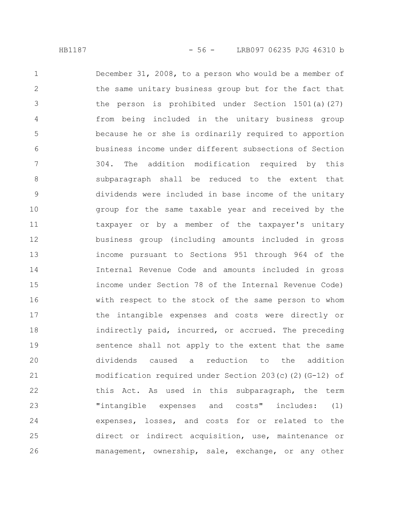December 31, 2008, to a person who would be a member of the same unitary business group but for the fact that the person is prohibited under Section 1501(a)(27) from being included in the unitary business group because he or she is ordinarily required to apportion business income under different subsections of Section 304. The addition modification required by this subparagraph shall be reduced to the extent that dividends were included in base income of the unitary group for the same taxable year and received by the taxpayer or by a member of the taxpayer's unitary business group (including amounts included in gross income pursuant to Sections 951 through 964 of the Internal Revenue Code and amounts included in gross income under Section 78 of the Internal Revenue Code) with respect to the stock of the same person to whom the intangible expenses and costs were directly or indirectly paid, incurred, or accrued. The preceding sentence shall not apply to the extent that the same dividends caused a reduction to the addition modification required under Section 203(c)(2)(G-12) of this Act. As used in this subparagraph, the term "intangible expenses and costs" includes: (1) expenses, losses, and costs for or related to the direct or indirect acquisition, use, maintenance or management, ownership, sale, exchange, or any other 1 2 3 4 5 6 7 8 9 10 11 12 13 14 15 16 17 18 19 20 21 22 23 24 25 26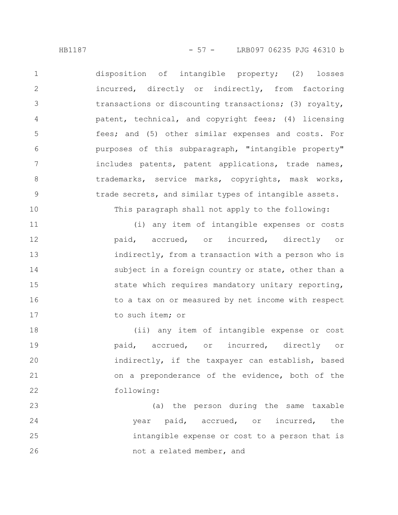disposition of intangible property; (2) losses incurred, directly or indirectly, from factoring transactions or discounting transactions; (3) royalty, patent, technical, and copyright fees; (4) licensing fees; and (5) other similar expenses and costs. For purposes of this subparagraph, "intangible property" includes patents, patent applications, trade names, trademarks, service marks, copyrights, mask works, trade secrets, and similar types of intangible assets. 1 2 3 4 5 6 7 8 9

This paragraph shall not apply to the following:

(i) any item of intangible expenses or costs paid, accrued, or incurred, directly or indirectly, from a transaction with a person who is subject in a foreign country or state, other than a state which requires mandatory unitary reporting, to a tax on or measured by net income with respect to such item; or 11 12 13 14 15 16 17

(ii) any item of intangible expense or cost paid, accrued, or incurred, directly or indirectly, if the taxpayer can establish, based on a preponderance of the evidence, both of the following: 18 19 20 21 22

(a) the person during the same taxable year paid, accrued, or incurred, the intangible expense or cost to a person that is not a related member, and 23 24 25 26

10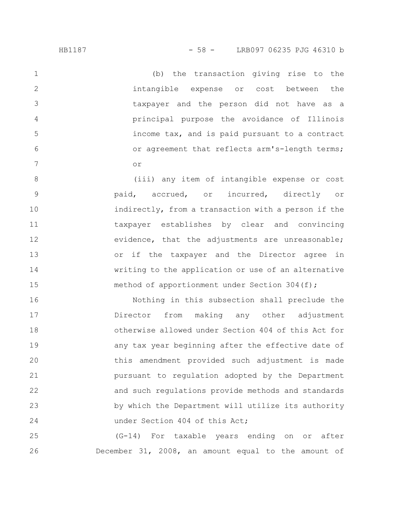(b) the transaction giving rise to the intangible expense or cost between the taxpayer and the person did not have as a principal purpose the avoidance of Illinois income tax, and is paid pursuant to a contract or agreement that reflects arm's-length terms; or 1 2 3 4 5 6 7

(iii) any item of intangible expense or cost paid, accrued, or incurred, directly or indirectly, from a transaction with a person if the taxpayer establishes by clear and convincing evidence, that the adjustments are unreasonable; or if the taxpayer and the Director agree in writing to the application or use of an alternative method of apportionment under Section 304(f); 8 9 10 11 12 13 14 15

Nothing in this subsection shall preclude the Director from making any other adjustment otherwise allowed under Section 404 of this Act for any tax year beginning after the effective date of this amendment provided such adjustment is made pursuant to regulation adopted by the Department and such regulations provide methods and standards by which the Department will utilize its authority under Section 404 of this Act; 16 17 18 19 20 21 22 23 24

(G-14) For taxable years ending on or after December 31, 2008, an amount equal to the amount of 25 26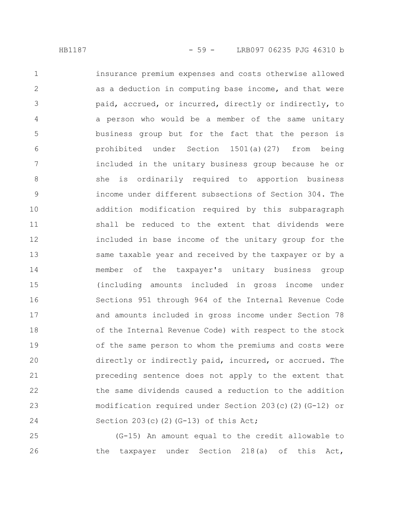insurance premium expenses and costs otherwise allowed as a deduction in computing base income, and that were paid, accrued, or incurred, directly or indirectly, to a person who would be a member of the same unitary business group but for the fact that the person is prohibited under Section 1501(a)(27) from being included in the unitary business group because he or she is ordinarily required to apportion business income under different subsections of Section 304. The addition modification required by this subparagraph shall be reduced to the extent that dividends were included in base income of the unitary group for the same taxable year and received by the taxpayer or by a member of the taxpayer's unitary business group (including amounts included in gross income under Sections 951 through 964 of the Internal Revenue Code and amounts included in gross income under Section 78 of the Internal Revenue Code) with respect to the stock of the same person to whom the premiums and costs were directly or indirectly paid, incurred, or accrued. The preceding sentence does not apply to the extent that the same dividends caused a reduction to the addition modification required under Section 203(c)(2)(G-12) or Section  $203(c)$  (2)(G-13) of this Act; 1 2 3 4 5 6 7 8 9 10 11 12 13 14 15 16 17 18 19 20 21 22 23 24

(G-15) An amount equal to the credit allowable to the taxpayer under Section 218(a) of this Act, 25 26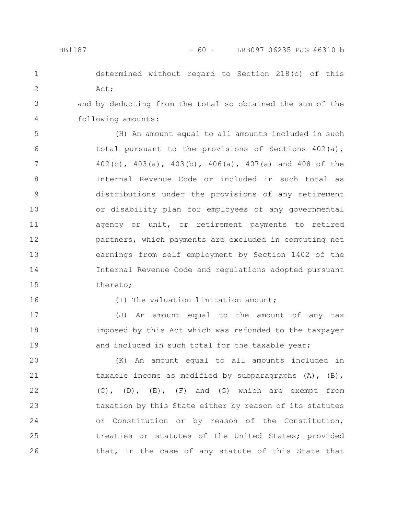determined without regard to Section 218(c) of this Act;

3 4 and by deducting from the total so obtained the sum of the following amounts:

(H) An amount equal to all amounts included in such total pursuant to the provisions of Sections  $402(a)$ , 402(c), 403(a), 403(b), 406(a), 407(a) and 408 of the Internal Revenue Code or included in such total as distributions under the provisions of any retirement or disability plan for employees of any governmental agency or unit, or retirement payments to retired partners, which payments are excluded in computing net earnings from self employment by Section 1402 of the Internal Revenue Code and regulations adopted pursuant thereto; 5 6 7 8 9 10 11 12 13 14 15

16

(I) The valuation limitation amount;

(J) An amount equal to the amount of any tax imposed by this Act which was refunded to the taxpayer and included in such total for the taxable year; 17 18 19

(K) An amount equal to all amounts included in taxable income as modified by subparagraphs (A), (B),  $(C)$ ,  $(D)$ ,  $(E)$ ,  $(F)$  and  $(G)$  which are exempt from taxation by this State either by reason of its statutes or Constitution or by reason of the Constitution, treaties or statutes of the United States; provided that, in the case of any statute of this State that 20 21 22 23 24 25 26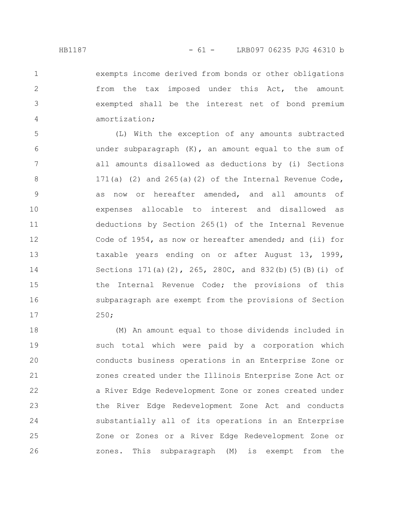2

3

4

exempts income derived from bonds or other obligations from the tax imposed under this Act, the amount exempted shall be the interest net of bond premium amortization;

(L) With the exception of any amounts subtracted under subparagraph  $(K)$ , an amount equal to the sum of all amounts disallowed as deductions by (i) Sections 171(a) (2) and  $265(a)(2)$  of the Internal Revenue Code, as now or hereafter amended, and all amounts of expenses allocable to interest and disallowed as deductions by Section 265(1) of the Internal Revenue Code of 1954, as now or hereafter amended; and (ii) for taxable years ending on or after August 13, 1999, Sections  $171(a)(2)$ ,  $265$ ,  $280C$ , and  $832(b)(5)(B)(i)$  of the Internal Revenue Code; the provisions of this subparagraph are exempt from the provisions of Section 250; 5 6 7 8 9 10 11 12 13 14 15 16 17

(M) An amount equal to those dividends included in such total which were paid by a corporation which conducts business operations in an Enterprise Zone or zones created under the Illinois Enterprise Zone Act or a River Edge Redevelopment Zone or zones created under the River Edge Redevelopment Zone Act and conducts substantially all of its operations in an Enterprise Zone or Zones or a River Edge Redevelopment Zone or zones. This subparagraph (M) is exempt from the 18 19 20 21 22 23 24 25 26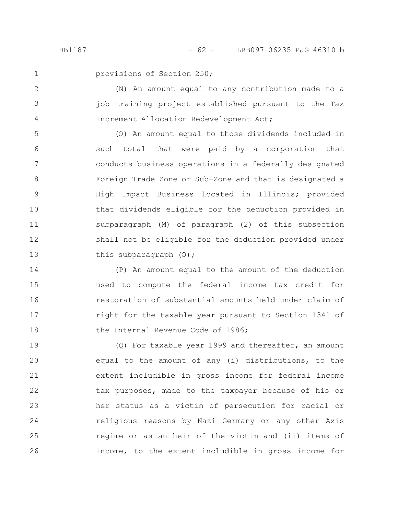2

3

4

provisions of Section 250;

(N) An amount equal to any contribution made to a job training project established pursuant to the Tax Increment Allocation Redevelopment Act;

(O) An amount equal to those dividends included in such total that were paid by a corporation that conducts business operations in a federally designated Foreign Trade Zone or Sub-Zone and that is designated a High Impact Business located in Illinois; provided that dividends eligible for the deduction provided in subparagraph (M) of paragraph (2) of this subsection shall not be eligible for the deduction provided under this subparagraph (O); 5 6 7 8 9 10 11 12 13

(P) An amount equal to the amount of the deduction used to compute the federal income tax credit for restoration of substantial amounts held under claim of right for the taxable year pursuant to Section 1341 of the Internal Revenue Code of 1986; 14 15 16 17 18

(Q) For taxable year 1999 and thereafter, an amount equal to the amount of any (i) distributions, to the extent includible in gross income for federal income tax purposes, made to the taxpayer because of his or her status as a victim of persecution for racial or religious reasons by Nazi Germany or any other Axis regime or as an heir of the victim and (ii) items of income, to the extent includible in gross income for 19 20 21 22 23 24 25 26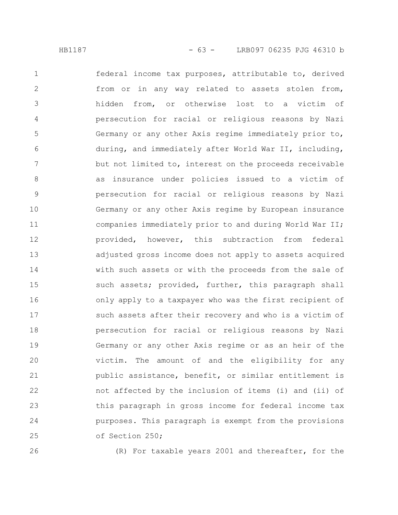federal income tax purposes, attributable to, derived from or in any way related to assets stolen from, hidden from, or otherwise lost to a victim of persecution for racial or religious reasons by Nazi Germany or any other Axis regime immediately prior to, during, and immediately after World War II, including, but not limited to, interest on the proceeds receivable as insurance under policies issued to a victim of persecution for racial or religious reasons by Nazi Germany or any other Axis regime by European insurance companies immediately prior to and during World War II; provided, however, this subtraction from federal adjusted gross income does not apply to assets acquired with such assets or with the proceeds from the sale of such assets; provided, further, this paragraph shall only apply to a taxpayer who was the first recipient of such assets after their recovery and who is a victim of persecution for racial or religious reasons by Nazi Germany or any other Axis regime or as an heir of the victim. The amount of and the eligibility for any public assistance, benefit, or similar entitlement is not affected by the inclusion of items (i) and (ii) of this paragraph in gross income for federal income tax purposes. This paragraph is exempt from the provisions of Section 250; 1 2 3 4 5 6 7 8 9 10 11 12 13 14 15 16 17 18 19 20 21 22 23 24 25

26

(R) For taxable years 2001 and thereafter, for the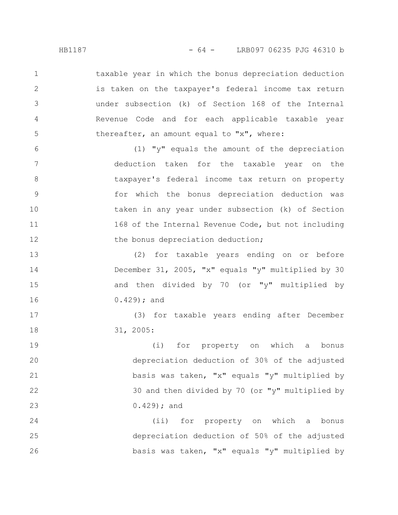taxable year in which the bonus depreciation deduction is taken on the taxpayer's federal income tax return under subsection (k) of Section 168 of the Internal Revenue Code and for each applicable taxable year thereafter, an amount equal to "x", where: 1 2 3 4 5

(1) "y" equals the amount of the depreciation deduction taken for the taxable year on the taxpayer's federal income tax return on property for which the bonus depreciation deduction was taken in any year under subsection (k) of Section 168 of the Internal Revenue Code, but not including the bonus depreciation deduction; 6 7 8 9 10 11 12

(2) for taxable years ending on or before December 31, 2005, "x" equals "y" multiplied by 30 and then divided by 70 (or "y" multiplied by 0.429); and 13 14 15 16

> (3) for taxable years ending after December 31, 2005:

(i) for property on which a bonus depreciation deduction of 30% of the adjusted basis was taken, "x" equals "y" multiplied by 30 and then divided by 70 (or "y" multiplied by 0.429); and 19 20 21 22 23

(ii) for property on which a bonus depreciation deduction of 50% of the adjusted basis was taken, "x" equals "y" multiplied by 24 25 26

17

18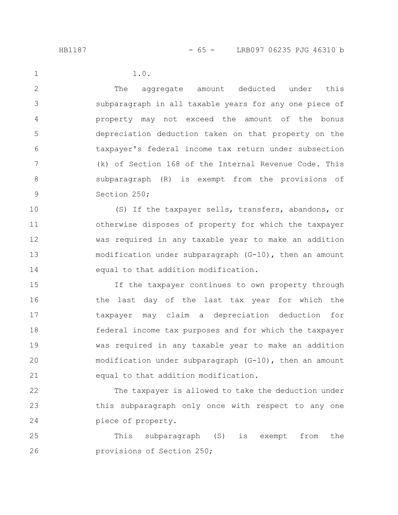2

3

4

5

6

7

8

9

1.0.

The aggregate amount deducted under this subparagraph in all taxable years for any one piece of property may not exceed the amount of the bonus depreciation deduction taken on that property on the taxpayer's federal income tax return under subsection (k) of Section 168 of the Internal Revenue Code. This subparagraph (R) is exempt from the provisions of Section 250;

(S) If the taxpayer sells, transfers, abandons, or otherwise disposes of property for which the taxpayer was required in any taxable year to make an addition modification under subparagraph (G-10), then an amount equal to that addition modification. 10 11 12 13 14

If the taxpayer continues to own property through the last day of the last tax year for which the taxpayer may claim a depreciation deduction for federal income tax purposes and for which the taxpayer was required in any taxable year to make an addition modification under subparagraph (G-10), then an amount equal to that addition modification. 15 16 17 18 19 20 21

The taxpayer is allowed to take the deduction under this subparagraph only once with respect to any one piece of property. 22 23 24

This subparagraph (S) is exempt from the provisions of Section 250; 25 26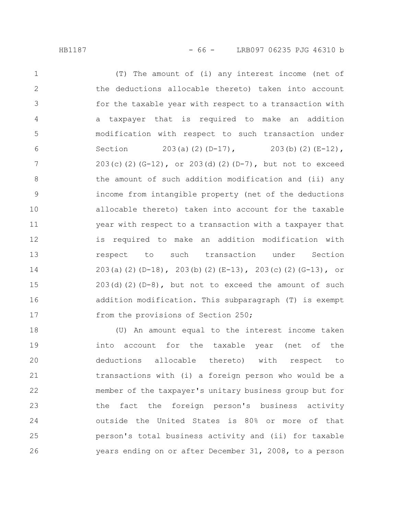(T) The amount of (i) any interest income (net of the deductions allocable thereto) taken into account for the taxable year with respect to a transaction with a taxpayer that is required to make an addition modification with respect to such transaction under Section 203(a)(2)(D-17), 203(b)(2)(E-12),  $203(c)(2)(G-12)$ , or  $203(d)(2)(D-7)$ , but not to exceed the amount of such addition modification and (ii) any income from intangible property (net of the deductions allocable thereto) taken into account for the taxable year with respect to a transaction with a taxpayer that is required to make an addition modification with respect to such transaction under Section 203(a)(2)(D-18), 203(b)(2)(E-13), 203(c)(2)(G-13), or  $203(d)(2)(D-8)$ , but not to exceed the amount of such addition modification. This subparagraph (T) is exempt from the provisions of Section 250; 1 2 3 4 5 6 7 8 9 10 11 12 13 14 15 16 17

(U) An amount equal to the interest income taken into account for the taxable year (net of the deductions allocable thereto) with respect to transactions with (i) a foreign person who would be a member of the taxpayer's unitary business group but for the fact the foreign person's business activity outside the United States is 80% or more of that person's total business activity and (ii) for taxable years ending on or after December 31, 2008, to a person 18 19 20 21 22 23 24 25 26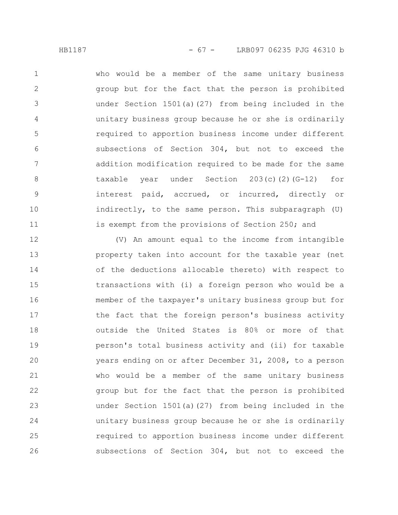who would be a member of the same unitary business group but for the fact that the person is prohibited under Section 1501(a)(27) from being included in the unitary business group because he or she is ordinarily required to apportion business income under different subsections of Section 304, but not to exceed the addition modification required to be made for the same taxable year under Section 203(c)(2)(G-12) for interest paid, accrued, or incurred, directly or indirectly, to the same person. This subparagraph (U) is exempt from the provisions of Section 250; and 1 2 3 4 5 6 7 8 9 10 11

(V) An amount equal to the income from intangible property taken into account for the taxable year (net of the deductions allocable thereto) with respect to transactions with (i) a foreign person who would be a member of the taxpayer's unitary business group but for the fact that the foreign person's business activity outside the United States is 80% or more of that person's total business activity and (ii) for taxable years ending on or after December 31, 2008, to a person who would be a member of the same unitary business group but for the fact that the person is prohibited under Section 1501(a)(27) from being included in the unitary business group because he or she is ordinarily required to apportion business income under different subsections of Section 304, but not to exceed the 12 13 14 15 16 17 18 19 20 21 22 23 24 25 26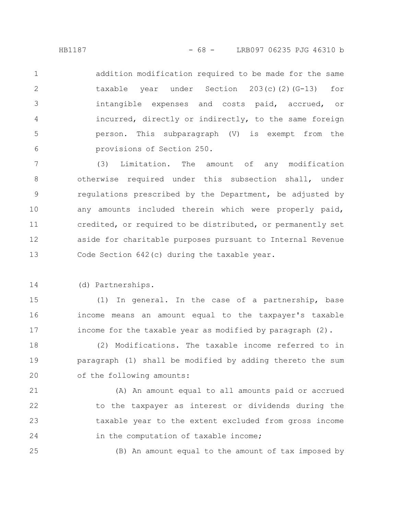addition modification required to be made for the same taxable year under Section 203(c)(2)(G-13) for intangible expenses and costs paid, accrued, or incurred, directly or indirectly, to the same foreign person. This subparagraph (V) is exempt from the provisions of Section 250. 1 2 3 4 5 6

(3) Limitation. The amount of any modification otherwise required under this subsection shall, under regulations prescribed by the Department, be adjusted by any amounts included therein which were properly paid, credited, or required to be distributed, or permanently set aside for charitable purposes pursuant to Internal Revenue Code Section 642(c) during the taxable year. 7 8 9 10 11 12 13

(d) Partnerships. 14

25

(1) In general. In the case of a partnership, base income means an amount equal to the taxpayer's taxable income for the taxable year as modified by paragraph (2). 15 16 17

(2) Modifications. The taxable income referred to in paragraph (1) shall be modified by adding thereto the sum of the following amounts: 18 19 20

(A) An amount equal to all amounts paid or accrued to the taxpayer as interest or dividends during the taxable year to the extent excluded from gross income in the computation of taxable income; 21 22 23 24

(B) An amount equal to the amount of tax imposed by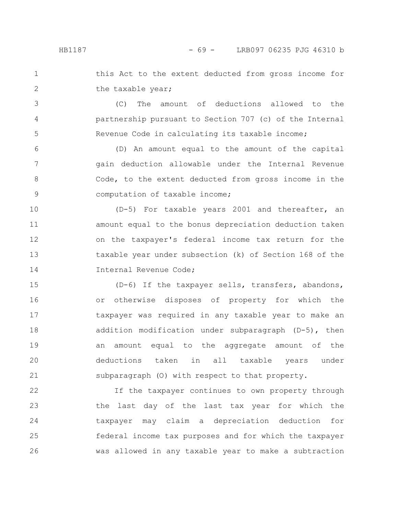4

5

this Act to the extent deducted from gross income for the taxable year; 1 2

(C) The amount of deductions allowed to the partnership pursuant to Section 707 (c) of the Internal Revenue Code in calculating its taxable income;

(D) An amount equal to the amount of the capital gain deduction allowable under the Internal Revenue Code, to the extent deducted from gross income in the computation of taxable income; 6 7 8 9

(D-5) For taxable years 2001 and thereafter, an amount equal to the bonus depreciation deduction taken on the taxpayer's federal income tax return for the taxable year under subsection (k) of Section 168 of the Internal Revenue Code; 10 11 12 13 14

(D-6) If the taxpayer sells, transfers, abandons, or otherwise disposes of property for which the taxpayer was required in any taxable year to make an addition modification under subparagraph (D-5), then an amount equal to the aggregate amount of the deductions taken in all taxable years under subparagraph (O) with respect to that property. 15 16 17 18 19 20 21

If the taxpayer continues to own property through the last day of the last tax year for which the taxpayer may claim a depreciation deduction for federal income tax purposes and for which the taxpayer was allowed in any taxable year to make a subtraction 22 23 24 25 26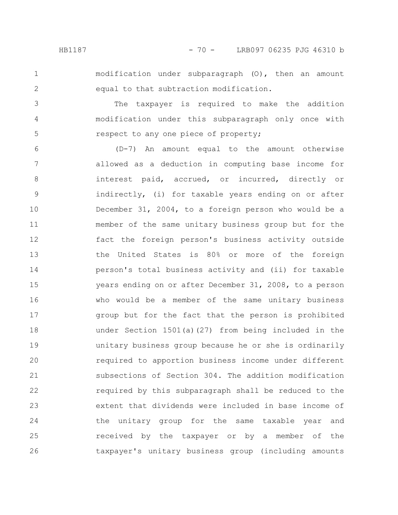2

3

4

5

modification under subparagraph (O), then an amount equal to that subtraction modification.

The taxpayer is required to make the addition modification under this subparagraph only once with respect to any one piece of property;

(D-7) An amount equal to the amount otherwise allowed as a deduction in computing base income for interest paid, accrued, or incurred, directly or indirectly, (i) for taxable years ending on or after December 31, 2004, to a foreign person who would be a member of the same unitary business group but for the fact the foreign person's business activity outside the United States is 80% or more of the foreign person's total business activity and (ii) for taxable years ending on or after December 31, 2008, to a person who would be a member of the same unitary business group but for the fact that the person is prohibited under Section 1501(a)(27) from being included in the unitary business group because he or she is ordinarily required to apportion business income under different subsections of Section 304. The addition modification required by this subparagraph shall be reduced to the extent that dividends were included in base income of the unitary group for the same taxable year and received by the taxpayer or by a member of the taxpayer's unitary business group (including amounts 6 7 8 9 10 11 12 13 14 15 16 17 18 19 20 21 22 23 24 25 26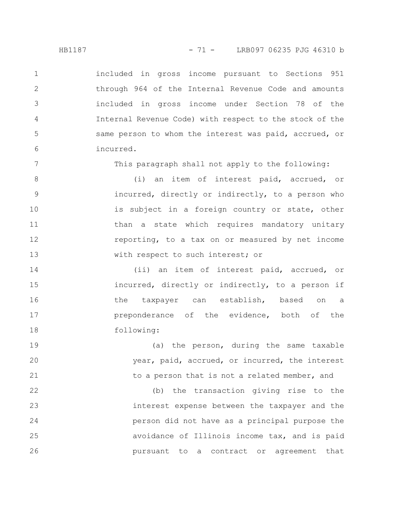included in gross income pursuant to Sections 951 through 964 of the Internal Revenue Code and amounts included in gross income under Section 78 of the Internal Revenue Code) with respect to the stock of the same person to whom the interest was paid, accrued, or incurred. 1 2 3 4 5 6

This paragraph shall not apply to the following:

(i) an item of interest paid, accrued, or incurred, directly or indirectly, to a person who is subject in a foreign country or state, other than a state which requires mandatory unitary reporting, to a tax on or measured by net income with respect to such interest; or 8 9 10 11 12 13

(ii) an item of interest paid, accrued, or incurred, directly or indirectly, to a person if the taxpayer can establish, based on a preponderance of the evidence, both of the following: 14 15 16 17 18

(a) the person, during the same taxable year, paid, accrued, or incurred, the interest to a person that is not a related member, and 19 20 21

(b) the transaction giving rise to the interest expense between the taxpayer and the person did not have as a principal purpose the avoidance of Illinois income tax, and is paid pursuant to a contract or agreement that 22 23 24 25 26

7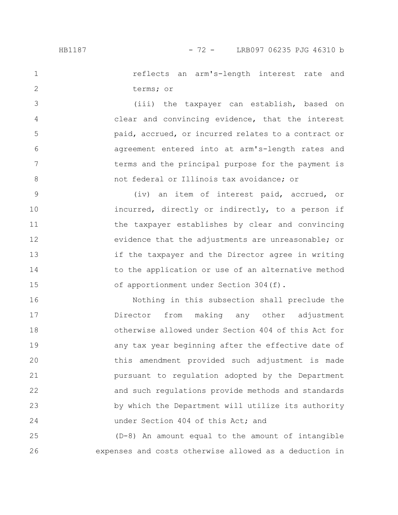1

2

3

4

5

6

7

8

reflects an arm's-length interest rate and terms; or

(iii) the taxpayer can establish, based on clear and convincing evidence, that the interest paid, accrued, or incurred relates to a contract or agreement entered into at arm's-length rates and terms and the principal purpose for the payment is not federal or Illinois tax avoidance; or

(iv) an item of interest paid, accrued, or incurred, directly or indirectly, to a person if the taxpayer establishes by clear and convincing evidence that the adjustments are unreasonable; or if the taxpayer and the Director agree in writing to the application or use of an alternative method of apportionment under Section 304(f). 9 10 11 12 13 14 15

Nothing in this subsection shall preclude the Director from making any other adjustment otherwise allowed under Section 404 of this Act for any tax year beginning after the effective date of this amendment provided such adjustment is made pursuant to regulation adopted by the Department and such regulations provide methods and standards by which the Department will utilize its authority under Section 404 of this Act; and 16 17 18 19 20 21 22 23 24

(D-8) An amount equal to the amount of intangible expenses and costs otherwise allowed as a deduction in 25 26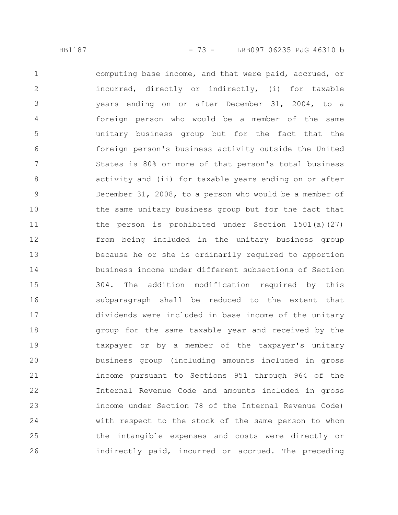computing base income, and that were paid, accrued, or incurred, directly or indirectly, (i) for taxable years ending on or after December 31, 2004, to a foreign person who would be a member of the same unitary business group but for the fact that the foreign person's business activity outside the United States is 80% or more of that person's total business activity and (ii) for taxable years ending on or after December 31, 2008, to a person who would be a member of the same unitary business group but for the fact that the person is prohibited under Section 1501(a)(27) from being included in the unitary business group because he or she is ordinarily required to apportion business income under different subsections of Section 304. The addition modification required by this subparagraph shall be reduced to the extent that dividends were included in base income of the unitary group for the same taxable year and received by the taxpayer or by a member of the taxpayer's unitary business group (including amounts included in gross income pursuant to Sections 951 through 964 of the Internal Revenue Code and amounts included in gross income under Section 78 of the Internal Revenue Code) with respect to the stock of the same person to whom the intangible expenses and costs were directly or indirectly paid, incurred or accrued. The preceding 1 2 3 4 5 6 7 8 9 10 11 12 13 14 15 16 17 18 19 20 21 22 23 24 25 26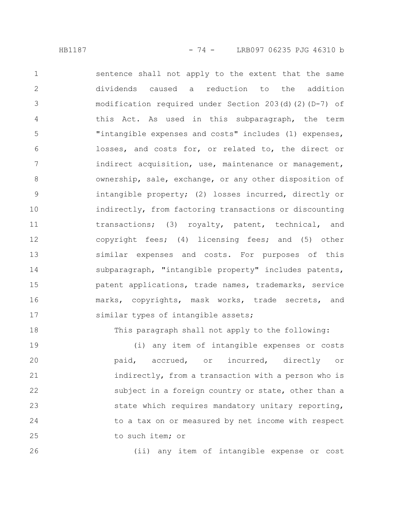sentence shall not apply to the extent that the same dividends caused a reduction to the addition modification required under Section 203(d)(2)(D-7) of this Act. As used in this subparagraph, the term "intangible expenses and costs" includes (1) expenses, losses, and costs for, or related to, the direct or indirect acquisition, use, maintenance or management, ownership, sale, exchange, or any other disposition of intangible property; (2) losses incurred, directly or indirectly, from factoring transactions or discounting transactions; (3) royalty, patent, technical, and copyright fees; (4) licensing fees; and (5) other similar expenses and costs. For purposes of this subparagraph, "intangible property" includes patents, patent applications, trade names, trademarks, service marks, copyrights, mask works, trade secrets, and similar types of intangible assets; 1 2 3 4 5 6 7 8 9 10 11 12 13 14 15 16 17

This paragraph shall not apply to the following:

(i) any item of intangible expenses or costs paid, accrued, or incurred, directly or indirectly, from a transaction with a person who is subject in a foreign country or state, other than a state which requires mandatory unitary reporting, to a tax on or measured by net income with respect to such item; or 19 20 21 22 23 24 25

26

18

(ii) any item of intangible expense or cost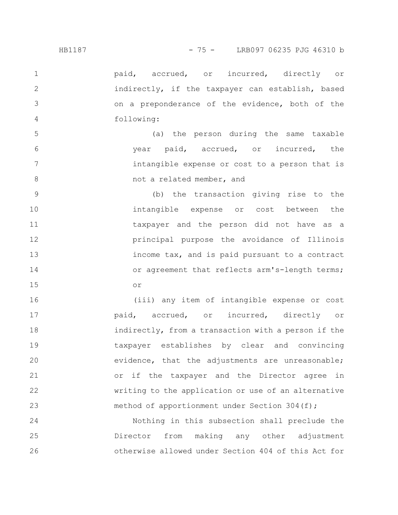paid, accrued, or incurred, directly or indirectly, if the taxpayer can establish, based on a preponderance of the evidence, both of the following: 1 2 3 4

(a) the person during the same taxable year paid, accrued, or incurred, the intangible expense or cost to a person that is not a related member, and 5 6 7 8

(b) the transaction giving rise to the intangible expense or cost between the taxpayer and the person did not have as a principal purpose the avoidance of Illinois income tax, and is paid pursuant to a contract or agreement that reflects arm's-length terms; or 9 10 11 12 13 14 15

(iii) any item of intangible expense or cost paid, accrued, or incurred, directly or indirectly, from a transaction with a person if the taxpayer establishes by clear and convincing evidence, that the adjustments are unreasonable; or if the taxpayer and the Director agree in writing to the application or use of an alternative method of apportionment under Section 304(f); 16 17 18 19 20 21 22 23

Nothing in this subsection shall preclude the Director from making any other adjustment otherwise allowed under Section 404 of this Act for 24 25 26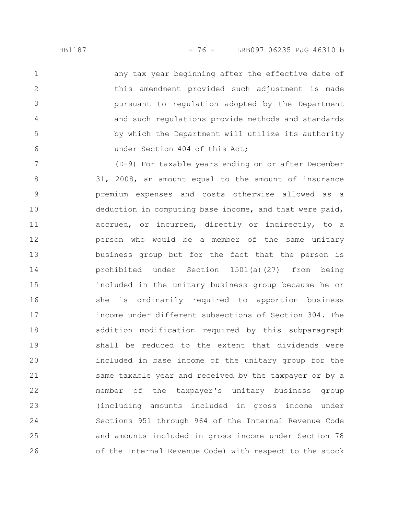any tax year beginning after the effective date of this amendment provided such adjustment is made pursuant to regulation adopted by the Department and such regulations provide methods and standards by which the Department will utilize its authority under Section 404 of this Act;

(D-9) For taxable years ending on or after December 31, 2008, an amount equal to the amount of insurance premium expenses and costs otherwise allowed as a deduction in computing base income, and that were paid, accrued, or incurred, directly or indirectly, to a person who would be a member of the same unitary business group but for the fact that the person is prohibited under Section 1501(a)(27) from being included in the unitary business group because he or she is ordinarily required to apportion business income under different subsections of Section 304. The addition modification required by this subparagraph shall be reduced to the extent that dividends were included in base income of the unitary group for the same taxable year and received by the taxpayer or by a member of the taxpayer's unitary business group (including amounts included in gross income under Sections 951 through 964 of the Internal Revenue Code and amounts included in gross income under Section 78 of the Internal Revenue Code) with respect to the stock 7 8 9 10 11 12 13 14 15 16 17 18 19 20 21 22 23 24 25 26

1

2

3

4

5

6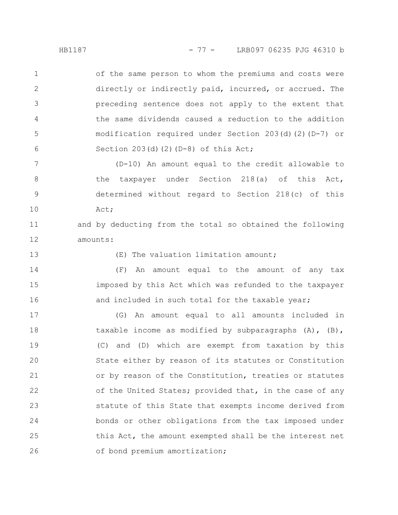of the same person to whom the premiums and costs were directly or indirectly paid, incurred, or accrued. The preceding sentence does not apply to the extent that the same dividends caused a reduction to the addition modification required under Section 203(d)(2)(D-7) or Section  $203(d)(2)(D-8)$  of this Act; 1 2 3 4 5 6

(D-10) An amount equal to the credit allowable to the taxpayer under Section 218(a) of this Act, determined without regard to Section 218(c) of this Act; 7 8 9 10

and by deducting from the total so obtained the following amounts: 11 12

13

(E) The valuation limitation amount;

(F) An amount equal to the amount of any tax imposed by this Act which was refunded to the taxpayer and included in such total for the taxable year; 14 15 16

(G) An amount equal to all amounts included in taxable income as modified by subparagraphs (A), (B), (C) and (D) which are exempt from taxation by this State either by reason of its statutes or Constitution or by reason of the Constitution, treaties or statutes of the United States; provided that, in the case of any statute of this State that exempts income derived from bonds or other obligations from the tax imposed under this Act, the amount exempted shall be the interest net of bond premium amortization; 17 18 19 20 21 22 23 24 25 26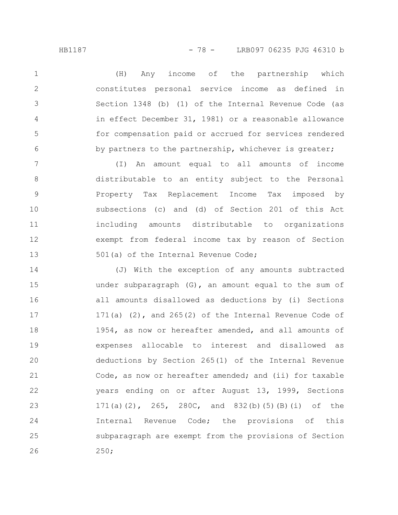(H) Any income of the partnership which constitutes personal service income as defined in Section 1348 (b) (1) of the Internal Revenue Code (as in effect December 31, 1981) or a reasonable allowance for compensation paid or accrued for services rendered by partners to the partnership, whichever is greater; 1 2 3 4 5 6

(I) An amount equal to all amounts of income distributable to an entity subject to the Personal Property Tax Replacement Income Tax imposed by subsections (c) and (d) of Section 201 of this Act including amounts distributable to organizations exempt from federal income tax by reason of Section 501(a) of the Internal Revenue Code; 7 8 9 10 11 12 13

(J) With the exception of any amounts subtracted under subparagraph (G), an amount equal to the sum of all amounts disallowed as deductions by (i) Sections 171(a)  $(2)$ , and 265 $(2)$  of the Internal Revenue Code of 1954, as now or hereafter amended, and all amounts of expenses allocable to interest and disallowed as deductions by Section 265(1) of the Internal Revenue Code, as now or hereafter amended; and (ii) for taxable years ending on or after August 13, 1999, Sections 171(a)(2), 265, 280C, and 832(b)(5)(B)(i) of the Internal Revenue Code; the provisions of this subparagraph are exempt from the provisions of Section 250; 14 15 16 17 18 19 20 21 22 23 24 25 26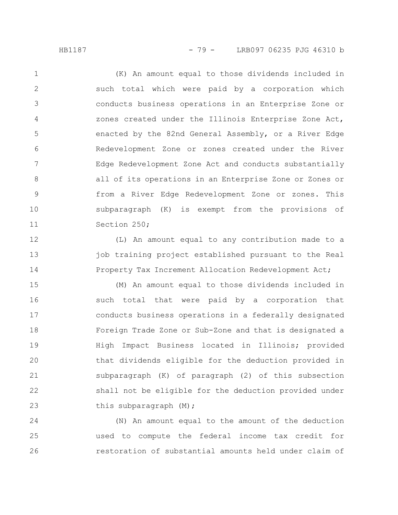(K) An amount equal to those dividends included in such total which were paid by a corporation which conducts business operations in an Enterprise Zone or zones created under the Illinois Enterprise Zone Act, enacted by the 82nd General Assembly, or a River Edge Redevelopment Zone or zones created under the River Edge Redevelopment Zone Act and conducts substantially all of its operations in an Enterprise Zone or Zones or from a River Edge Redevelopment Zone or zones. This subparagraph (K) is exempt from the provisions of Section 250; 1 2 3 4 5 6 7 8 9 10 11

(L) An amount equal to any contribution made to a job training project established pursuant to the Real Property Tax Increment Allocation Redevelopment Act; 12 13 14

(M) An amount equal to those dividends included in such total that were paid by a corporation that conducts business operations in a federally designated Foreign Trade Zone or Sub-Zone and that is designated a High Impact Business located in Illinois; provided that dividends eligible for the deduction provided in subparagraph (K) of paragraph (2) of this subsection shall not be eligible for the deduction provided under this subparagraph (M); 15 16 17 18 19 20 21 22 23

(N) An amount equal to the amount of the deduction used to compute the federal income tax credit for restoration of substantial amounts held under claim of 24 25 26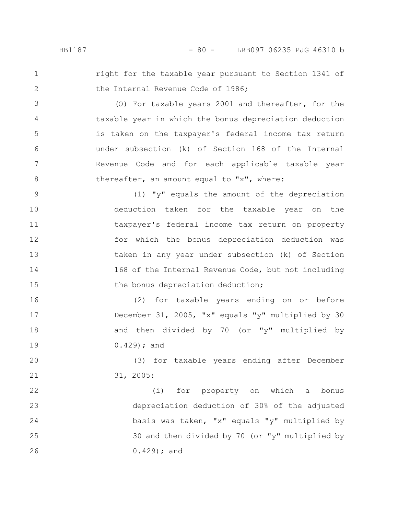1

2

3

4

5

6

7

8

16

17

18

19

right for the taxable year pursuant to Section 1341 of the Internal Revenue Code of 1986;

(O) For taxable years 2001 and thereafter, for the taxable year in which the bonus depreciation deduction is taken on the taxpayer's federal income tax return under subsection (k) of Section 168 of the Internal Revenue Code and for each applicable taxable year thereafter, an amount equal to "x", where:

(1) "y" equals the amount of the depreciation deduction taken for the taxable year on the taxpayer's federal income tax return on property for which the bonus depreciation deduction was taken in any year under subsection (k) of Section 168 of the Internal Revenue Code, but not including the bonus depreciation deduction; 9 10 11 12 13 14 15

(2) for taxable years ending on or before December 31, 2005, "x" equals "y" multiplied by 30 and then divided by 70 (or "y" multiplied by 0.429); and

(3) for taxable years ending after December 31, 2005: 20 21

(i) for property on which a bonus depreciation deduction of 30% of the adjusted basis was taken, "x" equals "y" multiplied by 30 and then divided by 70 (or "y" multiplied by 0.429); and 22 23 24 25 26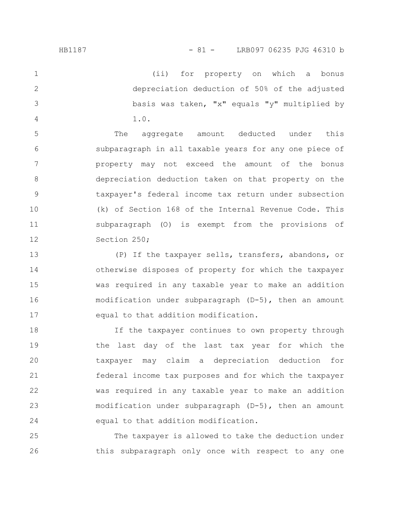(ii) for property on which a bonus depreciation deduction of 50% of the adjusted basis was taken, "x" equals "y" multiplied by 1.0. 1 2 3 4

The aggregate amount deducted under this subparagraph in all taxable years for any one piece of property may not exceed the amount of the bonus depreciation deduction taken on that property on the taxpayer's federal income tax return under subsection (k) of Section 168 of the Internal Revenue Code. This subparagraph (O) is exempt from the provisions of Section 250; 5 6 7 8 9 10 11 12

(P) If the taxpayer sells, transfers, abandons, or otherwise disposes of property for which the taxpayer was required in any taxable year to make an addition modification under subparagraph (D-5), then an amount equal to that addition modification. 13 14 15 16 17

If the taxpayer continues to own property through the last day of the last tax year for which the taxpayer may claim a depreciation deduction for federal income tax purposes and for which the taxpayer was required in any taxable year to make an addition modification under subparagraph (D-5), then an amount equal to that addition modification. 18 19 20 21 22 23 24

The taxpayer is allowed to take the deduction under this subparagraph only once with respect to any one 25 26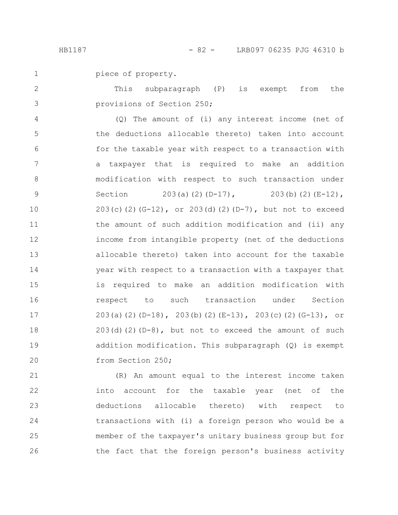piece of property. 1

This subparagraph (P) is exempt from the provisions of Section 250; 2 3

(Q) The amount of (i) any interest income (net of the deductions allocable thereto) taken into account for the taxable year with respect to a transaction with a taxpayer that is required to make an addition modification with respect to such transaction under Section 203(a)(2)(D-17), 203(b)(2)(E-12), 203(c)(2)(G-12), or 203(d)(2)(D-7), but not to exceed the amount of such addition modification and (ii) any income from intangible property (net of the deductions allocable thereto) taken into account for the taxable year with respect to a transaction with a taxpayer that is required to make an addition modification with respect to such transaction under Section 203(a)(2)(D-18), 203(b)(2)(E-13), 203(c)(2)(G-13), or  $203(d)(2)(D-8)$ , but not to exceed the amount of such addition modification. This subparagraph (Q) is exempt from Section 250; 4 5 6 7 8 9 10 11 12 13 14 15 16 17 18 19 20

(R) An amount equal to the interest income taken into account for the taxable year (net of the deductions allocable thereto) with respect to transactions with (i) a foreign person who would be a member of the taxpayer's unitary business group but for the fact that the foreign person's business activity 21 22 23 24 25 26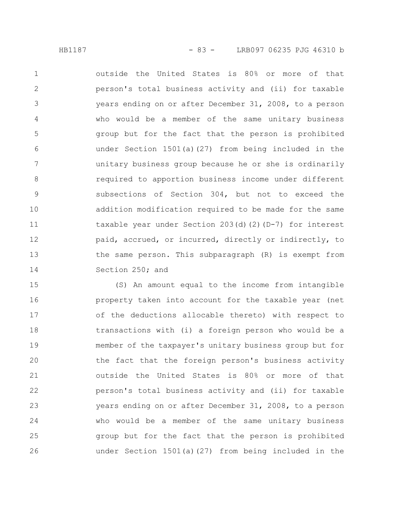outside the United States is 80% or more of that person's total business activity and (ii) for taxable years ending on or after December 31, 2008, to a person who would be a member of the same unitary business group but for the fact that the person is prohibited under Section 1501(a)(27) from being included in the unitary business group because he or she is ordinarily required to apportion business income under different subsections of Section 304, but not to exceed the addition modification required to be made for the same taxable year under Section 203(d)(2)(D-7) for interest paid, accrued, or incurred, directly or indirectly, to the same person. This subparagraph (R) is exempt from Section 250; and 1 2 3 4 5 6 7 8 9 10 11 12 13 14

(S) An amount equal to the income from intangible property taken into account for the taxable year (net of the deductions allocable thereto) with respect to transactions with (i) a foreign person who would be a member of the taxpayer's unitary business group but for the fact that the foreign person's business activity outside the United States is 80% or more of that person's total business activity and (ii) for taxable years ending on or after December 31, 2008, to a person who would be a member of the same unitary business group but for the fact that the person is prohibited under Section 1501(a)(27) from being included in the 15 16 17 18 19 20 21 22 23 24 25 26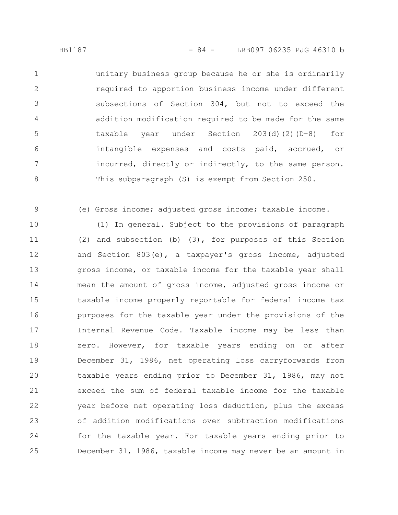unitary business group because he or she is ordinarily required to apportion business income under different subsections of Section 304, but not to exceed the addition modification required to be made for the same taxable year under Section 203(d)(2)(D-8) for intangible expenses and costs paid, accrued, or incurred, directly or indirectly, to the same person. This subparagraph (S) is exempt from Section 250. 1 2 3 4 5 6 7 8

(e) Gross income; adjusted gross income; taxable income.

9

(1) In general. Subject to the provisions of paragraph (2) and subsection (b) (3), for purposes of this Section and Section 803(e), a taxpayer's gross income, adjusted gross income, or taxable income for the taxable year shall mean the amount of gross income, adjusted gross income or taxable income properly reportable for federal income tax purposes for the taxable year under the provisions of the Internal Revenue Code. Taxable income may be less than zero. However, for taxable years ending on or after December 31, 1986, net operating loss carryforwards from taxable years ending prior to December 31, 1986, may not exceed the sum of federal taxable income for the taxable year before net operating loss deduction, plus the excess of addition modifications over subtraction modifications for the taxable year. For taxable years ending prior to December 31, 1986, taxable income may never be an amount in 10 11 12 13 14 15 16 17 18 19 20 21 22 23 24 25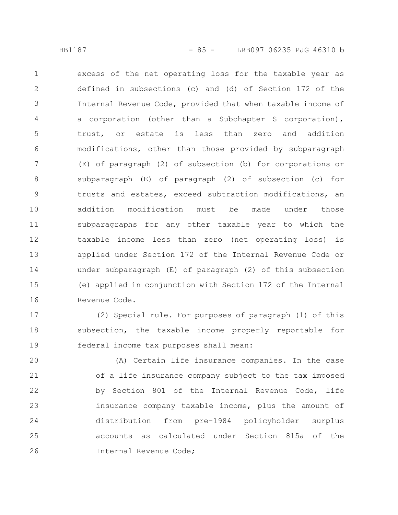excess of the net operating loss for the taxable year as defined in subsections (c) and (d) of Section 172 of the Internal Revenue Code, provided that when taxable income of a corporation (other than a Subchapter S corporation), trust, or estate is less than zero and addition modifications, other than those provided by subparagraph (E) of paragraph (2) of subsection (b) for corporations or subparagraph (E) of paragraph (2) of subsection (c) for trusts and estates, exceed subtraction modifications, an addition modification must be made under those subparagraphs for any other taxable year to which the taxable income less than zero (net operating loss) is applied under Section 172 of the Internal Revenue Code or under subparagraph (E) of paragraph (2) of this subsection (e) applied in conjunction with Section 172 of the Internal Revenue Code. 1 2 3 4 5 6 7 8 9 10 11 12 13 14 15 16

(2) Special rule. For purposes of paragraph (1) of this subsection, the taxable income properly reportable for federal income tax purposes shall mean: 17 18 19

(A) Certain life insurance companies. In the case of a life insurance company subject to the tax imposed by Section 801 of the Internal Revenue Code, life insurance company taxable income, plus the amount of distribution from pre-1984 policyholder surplus accounts as calculated under Section 815a of the Internal Revenue Code; 20 21 22 23 24 25 26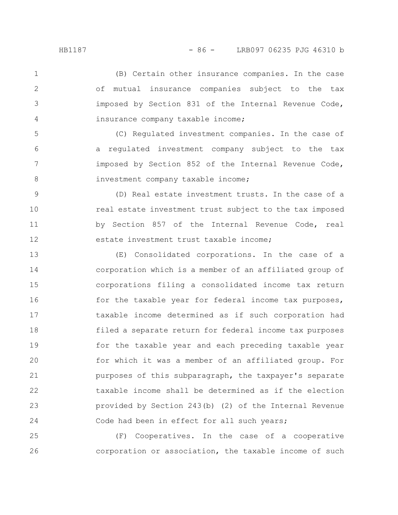(B) Certain other insurance companies. In the case of mutual insurance companies subject to the tax imposed by Section 831 of the Internal Revenue Code, insurance company taxable income; 1 2 3 4

(C) Regulated investment companies. In the case of a regulated investment company subject to the tax imposed by Section 852 of the Internal Revenue Code, investment company taxable income;

(D) Real estate investment trusts. In the case of a real estate investment trust subject to the tax imposed by Section 857 of the Internal Revenue Code, real estate investment trust taxable income; 9 10 11 12

(E) Consolidated corporations. In the case of a corporation which is a member of an affiliated group of corporations filing a consolidated income tax return for the taxable year for federal income tax purposes, taxable income determined as if such corporation had filed a separate return for federal income tax purposes for the taxable year and each preceding taxable year for which it was a member of an affiliated group. For purposes of this subparagraph, the taxpayer's separate taxable income shall be determined as if the election provided by Section 243(b) (2) of the Internal Revenue Code had been in effect for all such years; 13 14 15 16 17 18 19 20 21 22 23 24

(F) Cooperatives. In the case of a cooperative corporation or association, the taxable income of such 25 26

5

6

7

8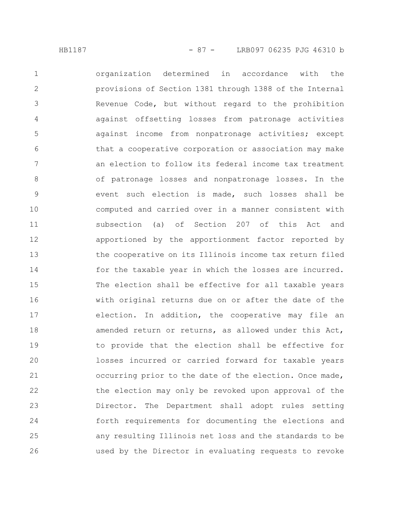organization determined in accordance with the provisions of Section 1381 through 1388 of the Internal Revenue Code, but without regard to the prohibition against offsetting losses from patronage activities against income from nonpatronage activities; except that a cooperative corporation or association may make an election to follow its federal income tax treatment of patronage losses and nonpatronage losses. In the event such election is made, such losses shall be computed and carried over in a manner consistent with subsection (a) of Section 207 of this Act and apportioned by the apportionment factor reported by the cooperative on its Illinois income tax return filed for the taxable year in which the losses are incurred. The election shall be effective for all taxable years with original returns due on or after the date of the election. In addition, the cooperative may file an amended return or returns, as allowed under this Act, to provide that the election shall be effective for losses incurred or carried forward for taxable years occurring prior to the date of the election. Once made, the election may only be revoked upon approval of the Director. The Department shall adopt rules setting forth requirements for documenting the elections and any resulting Illinois net loss and the standards to be used by the Director in evaluating requests to revoke 1 2 3 4 5 6 7 8 9 10 11 12 13 14 15 16 17 18 19 20 21 22 23 24 25 26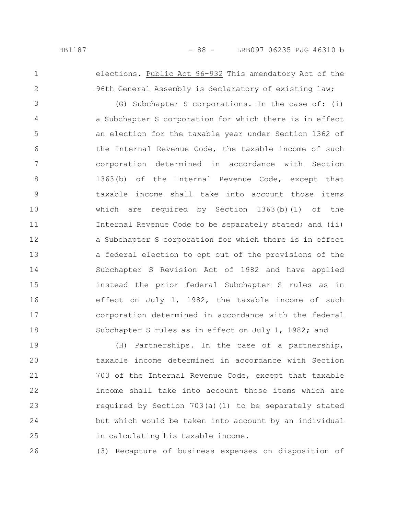1

2

26

## elections. Public Act 96-932 This amendatory Act of the 96th General Assembly is declaratory of existing law;

(G) Subchapter S corporations. In the case of: (i) a Subchapter S corporation for which there is in effect an election for the taxable year under Section 1362 of the Internal Revenue Code, the taxable income of such corporation determined in accordance with Section 1363(b) of the Internal Revenue Code, except that taxable income shall take into account those items which are required by Section  $1363(b)(1)$  of the Internal Revenue Code to be separately stated; and (ii) a Subchapter S corporation for which there is in effect a federal election to opt out of the provisions of the Subchapter S Revision Act of 1982 and have applied instead the prior federal Subchapter S rules as in effect on July 1, 1982, the taxable income of such corporation determined in accordance with the federal Subchapter S rules as in effect on July 1, 1982; and 3 4 5 6 7 8 9 10 11 12 13 14 15 16 17 18

(H) Partnerships. In the case of a partnership, taxable income determined in accordance with Section 703 of the Internal Revenue Code, except that taxable income shall take into account those items which are required by Section 703(a)(1) to be separately stated but which would be taken into account by an individual in calculating his taxable income. 19 20 21 22 23 24 25

(3) Recapture of business expenses on disposition of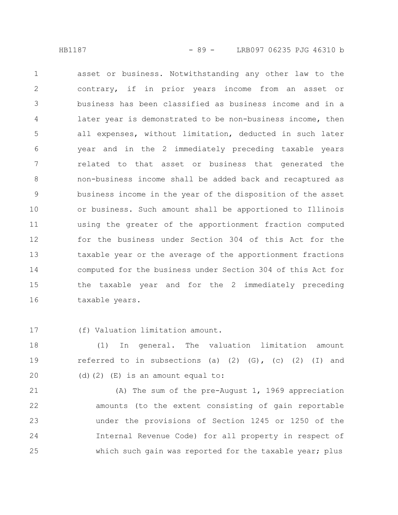asset or business. Notwithstanding any other law to the contrary, if in prior years income from an asset or business has been classified as business income and in a later year is demonstrated to be non-business income, then all expenses, without limitation, deducted in such later year and in the 2 immediately preceding taxable years related to that asset or business that generated the non-business income shall be added back and recaptured as business income in the year of the disposition of the asset or business. Such amount shall be apportioned to Illinois using the greater of the apportionment fraction computed for the business under Section 304 of this Act for the taxable year or the average of the apportionment fractions computed for the business under Section 304 of this Act for the taxable year and for the 2 immediately preceding taxable years. 1 2 3 4 5 6 7 8 9 10 11 12 13 14 15 16

(f) Valuation limitation amount. 17

(1) In general. The valuation limitation amount referred to in subsections (a)  $(2)$   $(G)$ ,  $(c)$   $(2)$   $(I)$  and (d)(2) (E) is an amount equal to: 18 19 20

(A) The sum of the pre-August 1, 1969 appreciation amounts (to the extent consisting of gain reportable under the provisions of Section 1245 or 1250 of the Internal Revenue Code) for all property in respect of which such gain was reported for the taxable year; plus 21 22 23 24 25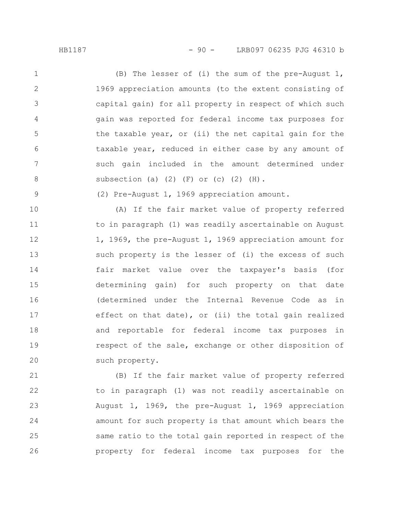(B) The lesser of (i) the sum of the pre-August 1, 1969 appreciation amounts (to the extent consisting of capital gain) for all property in respect of which such gain was reported for federal income tax purposes for the taxable year, or (ii) the net capital gain for the taxable year, reduced in either case by any amount of such gain included in the amount determined under subsection (a)  $(2)$   $(F)$  or  $(c)$   $(2)$   $(H)$ . 1 2 3 4 5 6 7 8

9

(2) Pre-August 1, 1969 appreciation amount.

(A) If the fair market value of property referred to in paragraph (1) was readily ascertainable on August 1, 1969, the pre-August 1, 1969 appreciation amount for such property is the lesser of (i) the excess of such fair market value over the taxpayer's basis (for determining gain) for such property on that date (determined under the Internal Revenue Code as in effect on that date), or (ii) the total gain realized and reportable for federal income tax purposes in respect of the sale, exchange or other disposition of such property. 10 11 12 13 14 15 16 17 18 19 20

(B) If the fair market value of property referred to in paragraph (1) was not readily ascertainable on August 1, 1969, the pre-August 1, 1969 appreciation amount for such property is that amount which bears the same ratio to the total gain reported in respect of the property for federal income tax purposes for the 21 22 23 24 25 26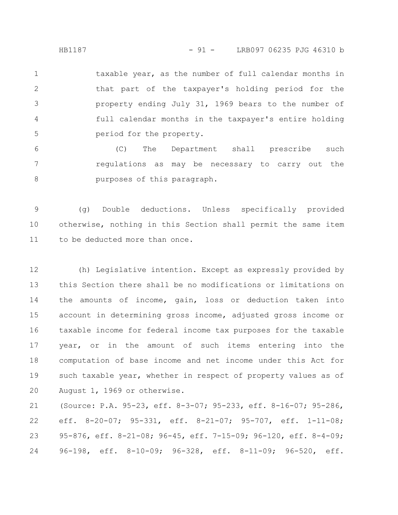HB1187 - 91 - LRB097 06235 PJG 46310 b

taxable year, as the number of full calendar months in that part of the taxpayer's holding period for the property ending July 31, 1969 bears to the number of full calendar months in the taxpayer's entire holding period for the property. 1 2 3 4 5

(C) The Department shall prescribe such regulations as may be necessary to carry out the purposes of this paragraph. 6 7 8

(g) Double deductions. Unless specifically provided otherwise, nothing in this Section shall permit the same item to be deducted more than once. 9 10 11

(h) Legislative intention. Except as expressly provided by this Section there shall be no modifications or limitations on the amounts of income, gain, loss or deduction taken into account in determining gross income, adjusted gross income or taxable income for federal income tax purposes for the taxable year, or in the amount of such items entering into the computation of base income and net income under this Act for such taxable year, whether in respect of property values as of August 1, 1969 or otherwise. 12 13 14 15 16 17 18 19 20

(Source: P.A. 95-23, eff. 8-3-07; 95-233, eff. 8-16-07; 95-286, eff. 8-20-07; 95-331, eff. 8-21-07; 95-707, eff. 1-11-08; 95-876, eff. 8-21-08; 96-45, eff. 7-15-09; 96-120, eff. 8-4-09; 96-198, eff. 8-10-09; 96-328, eff. 8-11-09; 96-520, eff. 21 22 23 24